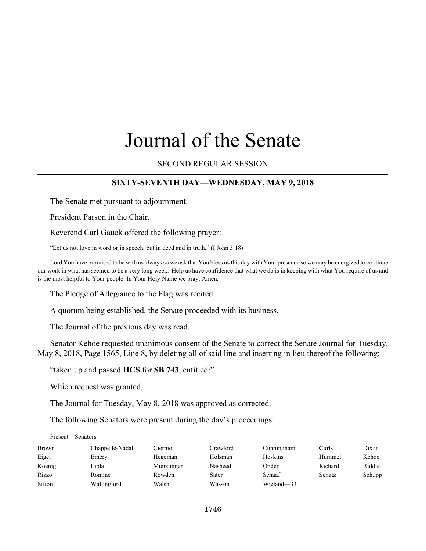# Journal of the Senate

## SECOND REGULAR SESSION

## **SIXTY-SEVENTH DAY—WEDNESDAY, MAY 9, 2018**

The Senate met pursuant to adjournment.

President Parson in the Chair.

Reverend Carl Gauck offered the following prayer:

"Let us not love in word or in speech, but in deed and in truth." (I John 3:18)

Lord You have promised to be with us always so we ask that You bless us this day with Your presence so we may be energized to continue our work in what has seemed to be a very long week. Help us have confidence that what we do is in keeping with what You require of us and is the most helpful to Your people. In Your Holy Name we pray. Amen.

The Pledge of Allegiance to the Flag was recited.

A quorum being established, the Senate proceeded with its business.

The Journal of the previous day was read.

Senator Kehoe requested unanimous consent of the Senate to correct the Senate Journal for Tuesday, May 8, 2018, Page 1565, Line 8, by deleting all of said line and inserting in lieu thereof the following:

"taken up and passed **HCS** for **SB 743**, entitled:"

Which request was granted.

The Journal for Tuesday, May 8, 2018 was approved as corrected.

The following Senators were present during the day's proceedings:

#### Present—Senators

| Brown  | Chappelle-Nadal | Cierpiot   | Crawford | Cunningham | Curls   | Dixon  |
|--------|-----------------|------------|----------|------------|---------|--------|
| Eigel  | Emery           | Hegeman    | Holsman  | Hoskins    | Hummel  | Kehoe  |
| Koenig | Libla           | Munzlinger | Nasheed  | Onder      | Richard | Riddle |
| Rizzo  | Romine          | Rowden     | Sater    | Schaaf     | Schatz  | Schupp |
| Sifton | Wallingford     | Walsh      | Wasson   | Wieland-33 |         |        |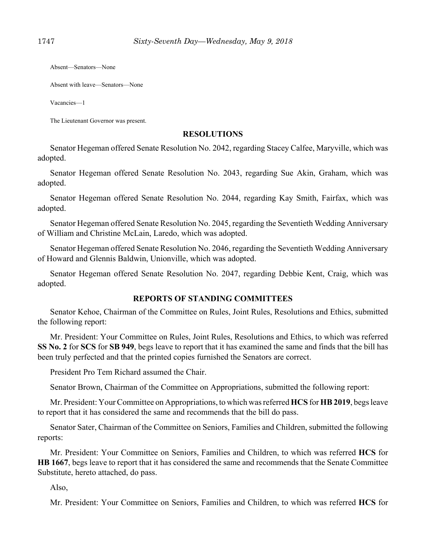Absent—Senators—None

Absent with leave—Senators—None

Vacancies—1

The Lieutenant Governor was present.

#### **RESOLUTIONS**

Senator Hegeman offered Senate Resolution No. 2042, regarding Stacey Calfee, Maryville, which was adopted.

Senator Hegeman offered Senate Resolution No. 2043, regarding Sue Akin, Graham, which was adopted.

Senator Hegeman offered Senate Resolution No. 2044, regarding Kay Smith, Fairfax, which was adopted.

Senator Hegeman offered Senate Resolution No. 2045, regarding the Seventieth Wedding Anniversary of William and Christine McLain, Laredo, which was adopted.

Senator Hegeman offered Senate Resolution No. 2046, regarding the Seventieth Wedding Anniversary of Howard and Glennis Baldwin, Unionville, which was adopted.

Senator Hegeman offered Senate Resolution No. 2047, regarding Debbie Kent, Craig, which was adopted.

## **REPORTS OF STANDING COMMITTEES**

Senator Kehoe, Chairman of the Committee on Rules, Joint Rules, Resolutions and Ethics, submitted the following report:

Mr. President: Your Committee on Rules, Joint Rules, Resolutions and Ethics, to which was referred **SS No. 2** for **SCS** for **SB 949**, begs leave to report that it has examined the same and finds that the bill has been truly perfected and that the printed copies furnished the Senators are correct.

President Pro Tem Richard assumed the Chair.

Senator Brown, Chairman of the Committee on Appropriations, submitted the following report:

Mr. President: Your Committee on Appropriations, to which was referred **HCS** for **HB 2019**, begs leave to report that it has considered the same and recommends that the bill do pass.

Senator Sater, Chairman of the Committee on Seniors, Families and Children, submitted the following reports:

Mr. President: Your Committee on Seniors, Families and Children, to which was referred **HCS** for **HB 1667**, begs leave to report that it has considered the same and recommends that the Senate Committee Substitute, hereto attached, do pass.

Also,

Mr. President: Your Committee on Seniors, Families and Children, to which was referred **HCS** for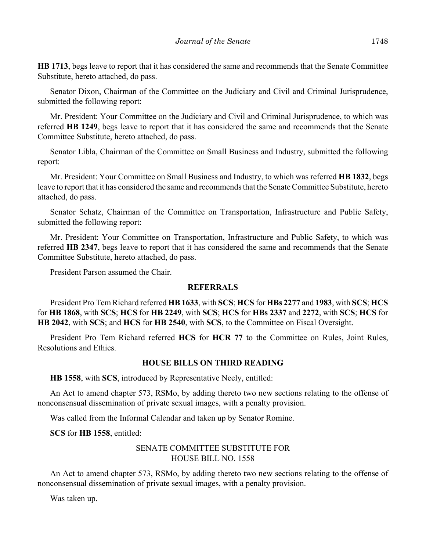**HB 1713**, begs leave to report that it has considered the same and recommends that the Senate Committee Substitute, hereto attached, do pass.

Senator Dixon, Chairman of the Committee on the Judiciary and Civil and Criminal Jurisprudence, submitted the following report:

Mr. President: Your Committee on the Judiciary and Civil and Criminal Jurisprudence, to which was referred **HB 1249**, begs leave to report that it has considered the same and recommends that the Senate Committee Substitute, hereto attached, do pass.

Senator Libla, Chairman of the Committee on Small Business and Industry, submitted the following report:

Mr. President: Your Committee on Small Business and Industry, to which was referred **HB 1832**, begs leave to report that it has considered the same and recommends that the Senate Committee Substitute, hereto attached, do pass.

Senator Schatz, Chairman of the Committee on Transportation, Infrastructure and Public Safety, submitted the following report:

Mr. President: Your Committee on Transportation, Infrastructure and Public Safety, to which was referred **HB 2347**, begs leave to report that it has considered the same and recommends that the Senate Committee Substitute, hereto attached, do pass.

President Parson assumed the Chair.

#### **REFERRALS**

President Pro Tem Richard referred **HB 1633**, with **SCS**; **HCS** for **HBs 2277** and **1983**, with **SCS**; **HCS** for **HB 1868**, with **SCS**; **HCS** for **HB 2249**, with **SCS**; **HCS** for **HBs 2337** and **2272**, with **SCS**; **HCS** for **HB 2042**, with **SCS**; and **HCS** for **HB 2540**, with **SCS**, to the Committee on Fiscal Oversight.

President Pro Tem Richard referred **HCS** for **HCR 77** to the Committee on Rules, Joint Rules, Resolutions and Ethics.

#### **HOUSE BILLS ON THIRD READING**

**HB 1558**, with **SCS**, introduced by Representative Neely, entitled:

An Act to amend chapter 573, RSMo, by adding thereto two new sections relating to the offense of nonconsensual dissemination of private sexual images, with a penalty provision.

Was called from the Informal Calendar and taken up by Senator Romine.

**SCS** for **HB 1558**, entitled:

# SENATE COMMITTEE SUBSTITUTE FOR HOUSE BILL NO. 1558

An Act to amend chapter 573, RSMo, by adding thereto two new sections relating to the offense of nonconsensual dissemination of private sexual images, with a penalty provision.

Was taken up.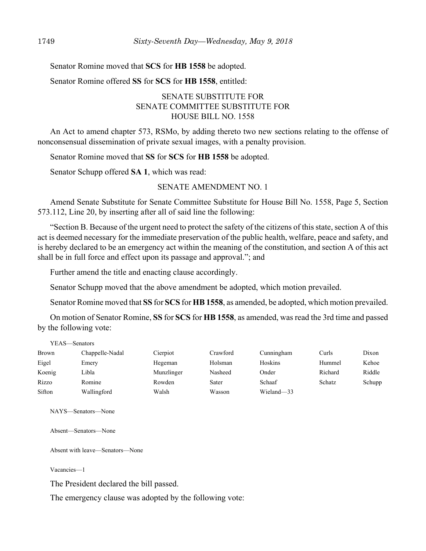Senator Romine moved that **SCS** for **HB 1558** be adopted.

Senator Romine offered **SS** for **SCS** for **HB 1558**, entitled:

# SENATE SUBSTITUTE FOR SENATE COMMITTEE SUBSTITUTE FOR HOUSE BILL NO. 1558

An Act to amend chapter 573, RSMo, by adding thereto two new sections relating to the offense of nonconsensual dissemination of private sexual images, with a penalty provision.

Senator Romine moved that **SS** for **SCS** for **HB 1558** be adopted.

Senator Schupp offered **SA 1**, which was read:

## SENATE AMENDMENT NO. 1

Amend Senate Substitute for Senate Committee Substitute for House Bill No. 1558, Page 5, Section 573.112, Line 20, by inserting after all of said line the following:

"Section B. Because of the urgent need to protect the safety of the citizens of this state, section A of this act is deemed necessary for the immediate preservation of the public health, welfare, peace and safety, and is hereby declared to be an emergency act within the meaning of the constitution, and section A of this act shall be in full force and effect upon its passage and approval."; and

Further amend the title and enacting clause accordingly.

Senator Schupp moved that the above amendment be adopted, which motion prevailed.

Senator Romine moved that **SS** for **SCS** for **HB 1558**, as amended, be adopted, which motion prevailed.

On motion of Senator Romine, **SS** for **SCS** for **HB 1558**, as amended, was read the 3rd time and passed by the following vote:

| YEAS—Senators |                 |            |          |            |         |        |
|---------------|-----------------|------------|----------|------------|---------|--------|
| Brown         | Chappelle-Nadal | Cierpiot   | Crawford | Cunningham | Curls   | Dixon  |
| Eigel         | Emery           | Hegeman    | Holsman  | Hoskins    | Hummel  | Kehoe  |
| Koenig        | Libla           | Munzlinger | Nasheed  | Onder      | Richard | Riddle |
| Rizzo         | Romine          | Rowden     | Sater    | Schaaf     | Schatz  | Schupp |
| Sifton        | Wallingford     | Walsh      | Wasson   | Wieland-33 |         |        |

NAYS—Senators—None

Absent—Senators—None

Absent with leave—Senators—None

Vacancies—1

The President declared the bill passed.

The emergency clause was adopted by the following vote: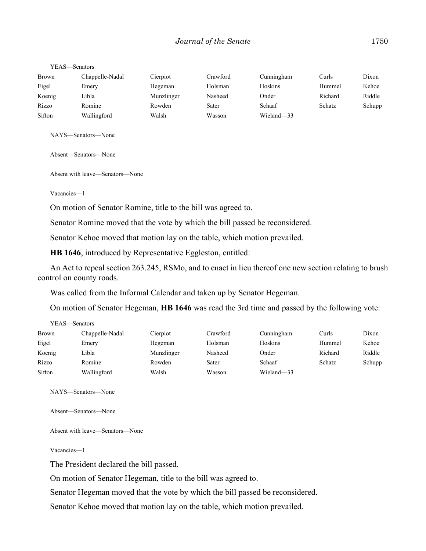| YEAS—Senators |                 |            |          |            |         |        |
|---------------|-----------------|------------|----------|------------|---------|--------|
| <b>Brown</b>  | Chappelle-Nadal | Cierpiot   | Crawford | Cunningham | Curls   | Dixon  |
| Eigel         | Emery           | Hegeman    | Holsman  | Hoskins    | Hummel  | Kehoe  |
| Koenig        | Libla           | Munzlinger | Nasheed  | Onder      | Richard | Riddle |
| Rizzo         | Romine          | Rowden     | Sater    | Schaaf     | Schatz  | Schupp |
| Sifton        | Wallingford     | Walsh      | Wasson   | Wieland-33 |         |        |

NAYS—Senators—None

Absent—Senators—None

Absent with leave—Senators—None

Vacancies—1

On motion of Senator Romine, title to the bill was agreed to.

Senator Romine moved that the vote by which the bill passed be reconsidered.

Senator Kehoe moved that motion lay on the table, which motion prevailed.

**HB 1646**, introduced by Representative Eggleston, entitled:

An Act to repeal section 263.245, RSMo, and to enact in lieu thereof one new section relating to brush control on county roads.

Was called from the Informal Calendar and taken up by Senator Hegeman.

On motion of Senator Hegeman, **HB 1646** was read the 3rd time and passed by the following vote:

|              | YEAS—Senators   |            |          |            |         |        |
|--------------|-----------------|------------|----------|------------|---------|--------|
| <b>Brown</b> | Chappelle-Nadal | Cierpiot   | Crawford | Cunningham | Curls   | Dixon  |
| Eigel        | Emery           | Hegeman    | Holsman  | Hoskins    | Hummel  | Kehoe  |
| Koenig       | Libla           | Munzlinger | Nasheed  | Onder      | Richard | Riddle |
| Rizzo        | Romine          | Rowden     | Sater    | Schaaf     | Schatz  | Schupp |
| Sifton       | Wallingford     | Walsh      | Wasson   | Wieland-33 |         |        |

NAYS—Senators—None

Absent—Senators—None

Absent with leave—Senators—None

Vacancies—1

The President declared the bill passed.

On motion of Senator Hegeman, title to the bill was agreed to.

Senator Hegeman moved that the vote by which the bill passed be reconsidered.

Senator Kehoe moved that motion lay on the table, which motion prevailed.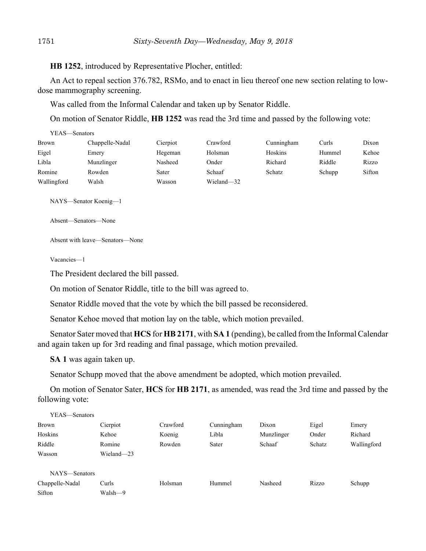**HB 1252**, introduced by Representative Plocher, entitled:

An Act to repeal section 376.782, RSMo, and to enact in lieu thereof one new section relating to lowdose mammography screening.

Was called from the Informal Calendar and taken up by Senator Riddle.

On motion of Senator Riddle, **HB 1252** was read the 3rd time and passed by the following vote:

| YEAS—Senators |                 |          |            |            |        |        |
|---------------|-----------------|----------|------------|------------|--------|--------|
| <b>Brown</b>  | Chappelle-Nadal | Cierpiot | Crawford   | Cunningham | Curls  | Dixon  |
| Eigel         | Emery           | Hegeman  | Holsman    | Hoskins    | Hummel | Kehoe  |
| Libla         | Munzlinger      | Nasheed  | Onder      | Richard    | Riddle | Rizzo  |
| Romine        | Rowden          | Sater    | Schaaf     | Schatz     | Schupp | Sifton |
| Wallingford   | Walsh           | Wasson   | Wieland-32 |            |        |        |

NAYS—Senator Koenig—1

Absent—Senators—None

Absent with leave—Senators—None

Vacancies—1

The President declared the bill passed.

On motion of Senator Riddle, title to the bill was agreed to.

Senator Riddle moved that the vote by which the bill passed be reconsidered.

Senator Kehoe moved that motion lay on the table, which motion prevailed.

Senator Sater moved that **HCS** for **HB 2171**, with **SA 1** (pending), be called from the Informal Calendar and again taken up for 3rd reading and final passage, which motion prevailed.

**SA 1** was again taken up.

Senator Schupp moved that the above amendment be adopted, which motion prevailed.

On motion of Senator Sater, **HCS** for **HB 2171**, as amended, was read the 3rd time and passed by the following vote:

| YEAS-Senators   |            |          |            |            |        |             |
|-----------------|------------|----------|------------|------------|--------|-------------|
| <b>Brown</b>    | Cierpiot   | Crawford | Cunningham | Dixon      | Eigel  | Emery       |
| Hoskins         | Kehoe      | Koenig   | Libla      | Munzlinger | Onder  | Richard     |
| Riddle          | Romine     | Rowden   | Sater      | Schaaf     | Schatz | Wallingford |
| Wasson          | Wieland-23 |          |            |            |        |             |
| NAYS-Senators   |            |          |            |            |        |             |
| Chappelle-Nadal | Curls      | Holsman  | Hummel     | Nasheed    | Rizzo  | Schupp      |
| Sifton          | Walsh-9    |          |            |            |        |             |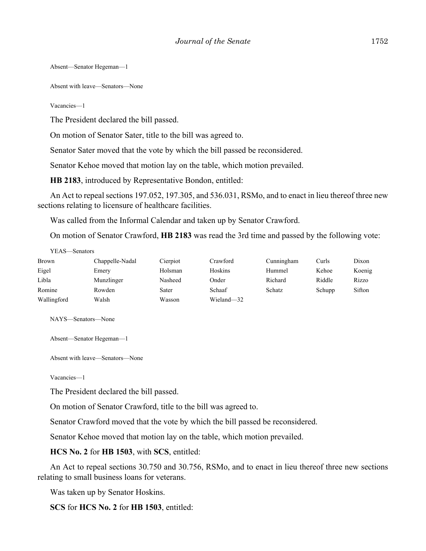Absent—Senator Hegeman—1

Absent with leave—Senators—None

Vacancies—1

The President declared the bill passed.

On motion of Senator Sater, title to the bill was agreed to.

Senator Sater moved that the vote by which the bill passed be reconsidered.

Senator Kehoe moved that motion lay on the table, which motion prevailed.

**HB 2183**, introduced by Representative Bondon, entitled:

An Act to repeal sections 197.052, 197.305, and 536.031, RSMo, and to enact in lieu thereof three new sections relating to licensure of healthcare facilities.

Was called from the Informal Calendar and taken up by Senator Crawford.

On motion of Senator Crawford, **HB 2183** was read the 3rd time and passed by the following vote:

| YEAS—Senators |                 |          |            |            |        |        |
|---------------|-----------------|----------|------------|------------|--------|--------|
| Brown         | Chappelle-Nadal | Cierpiot | Crawford   | Cunningham | Curls  | Dixon  |
| Eigel         | Emery           | Holsman  | Hoskins    | Hummel     | Kehoe  | Koenig |
| Libla         | Munzlinger      | Nasheed  | Onder      | Richard    | Riddle | Rizzo  |
| Romine        | Rowden          | Sater    | Schaaf     | Schatz     | Schupp | Sifton |
| Wallingford   | Walsh           | Wasson   | Wieland-32 |            |        |        |

NAYS—Senators—None

Absent—Senator Hegeman—1

Absent with leave—Senators—None

Vacancies—1

The President declared the bill passed.

On motion of Senator Crawford, title to the bill was agreed to.

Senator Crawford moved that the vote by which the bill passed be reconsidered.

Senator Kehoe moved that motion lay on the table, which motion prevailed.

**HCS No. 2** for **HB 1503**, with **SCS**, entitled:

An Act to repeal sections 30.750 and 30.756, RSMo, and to enact in lieu thereof three new sections relating to small business loans for veterans.

Was taken up by Senator Hoskins.

**SCS** for **HCS No. 2** for **HB 1503**, entitled: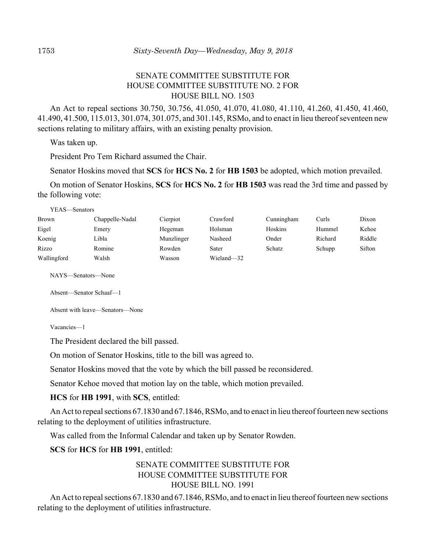# SENATE COMMITTEE SUBSTITUTE FOR HOUSE COMMITTEE SUBSTITUTE NO. 2 FOR HOUSE BILL NO. 1503

An Act to repeal sections 30.750, 30.756, 41.050, 41.070, 41.080, 41.110, 41.260, 41.450, 41.460, 41.490, 41.500, 115.013, 301.074, 301.075, and 301.145, RSMo, and to enact in lieu thereof seventeen new sections relating to military affairs, with an existing penalty provision.

Was taken up.

President Pro Tem Richard assumed the Chair.

Senator Hoskins moved that **SCS** for **HCS No. 2** for **HB 1503** be adopted, which motion prevailed.

On motion of Senator Hoskins, **SCS** for **HCS No. 2** for **HB 1503** was read the 3rd time and passed by the following vote:

YEAS—Senators

| <b>Brown</b> | Chappelle-Nadal | Cierpiot   | Crawford   | Cunningham | Curls   | Dixon  |
|--------------|-----------------|------------|------------|------------|---------|--------|
| Eigel        | Emery           | Hegeman    | Holsman    | Hoskins    | Hummel  | Kehoe  |
| Koenig       | Libla           | Munzlinger | Nasheed    | Onder      | Richard | Riddle |
| Rizzo        | Romine          | Rowden     | Sater      | Schatz     | Schupp  | Sifton |
| Wallingford  | Walsh           | Wasson     | Wieland-32 |            |         |        |

NAYS—Senators—None

Absent—Senator Schaaf—1

Absent with leave—Senators—None

Vacancies—1

The President declared the bill passed.

On motion of Senator Hoskins, title to the bill was agreed to.

Senator Hoskins moved that the vote by which the bill passed be reconsidered.

Senator Kehoe moved that motion lay on the table, which motion prevailed.

**HCS** for **HB 1991**, with **SCS**, entitled:

An Act to repeal sections 67.1830 and 67.1846, RSMo, and to enact in lieu thereof fourteen new sections relating to the deployment of utilities infrastructure.

Was called from the Informal Calendar and taken up by Senator Rowden.

**SCS** for **HCS** for **HB 1991**, entitled:

# SENATE COMMITTEE SUBSTITUTE FOR HOUSE COMMITTEE SUBSTITUTE FOR HOUSE BILL NO. 1991

An Act to repeal sections 67.1830 and 67.1846, RSMo, and to enact in lieu thereof fourteen new sections relating to the deployment of utilities infrastructure.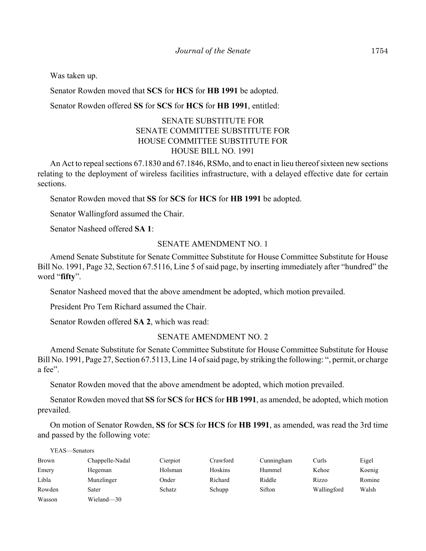Was taken up.

Senator Rowden moved that **SCS** for **HCS** for **HB 1991** be adopted.

Senator Rowden offered **SS** for **SCS** for **HCS** for **HB 1991**, entitled:

# SENATE SUBSTITUTE FOR SENATE COMMITTEE SUBSTITUTE FOR HOUSE COMMITTEE SUBSTITUTE FOR HOUSE BILL NO. 1991

An Act to repeal sections 67.1830 and 67.1846, RSMo, and to enact in lieu thereof sixteen new sections relating to the deployment of wireless facilities infrastructure, with a delayed effective date for certain sections.

Senator Rowden moved that **SS** for **SCS** for **HCS** for **HB 1991** be adopted.

Senator Wallingford assumed the Chair.

Senator Nasheed offered **SA 1**:

#### SENATE AMENDMENT NO. 1

Amend Senate Substitute for Senate Committee Substitute for House Committee Substitute for House Bill No. 1991, Page 32, Section 67.5116, Line 5 of said page, by inserting immediately after "hundred" the word "**fifty**".

Senator Nasheed moved that the above amendment be adopted, which motion prevailed.

President Pro Tem Richard assumed the Chair.

Senator Rowden offered **SA 2**, which was read:

#### SENATE AMENDMENT NO. 2

Amend Senate Substitute for Senate Committee Substitute for House Committee Substitute for House Bill No. 1991, Page 27, Section 67.5113, Line 14 of said page, by striking the following: ", permit, or charge a fee".

Senator Rowden moved that the above amendment be adopted, which motion prevailed.

Senator Rowden moved that **SS** for **SCS** for **HCS** for **HB 1991**, as amended, be adopted, which motion prevailed.

On motion of Senator Rowden, **SS** for **SCS** for **HCS** for **HB 1991**, as amended, was read the 3rd time and passed by the following vote:

| YEAS—Senators |                 |          |          |            |             |        |
|---------------|-----------------|----------|----------|------------|-------------|--------|
| <b>Brown</b>  | Chappelle-Nadal | Cierpiot | Crawford | Cunningham | Curls       | Eigel  |
| Emery         | Hegeman         | Holsman  | Hoskins  | Hummel     | Kehoe       | Koenig |
| Libla         | Munzlinger      | Onder    | Richard  | Riddle     | Rizzo       | Romine |
| Rowden        | Sater           | Schatz   | Schupp   | Sifton     | Wallingford | Walsh  |
| Wasson        | Wieland-30      |          |          |            |             |        |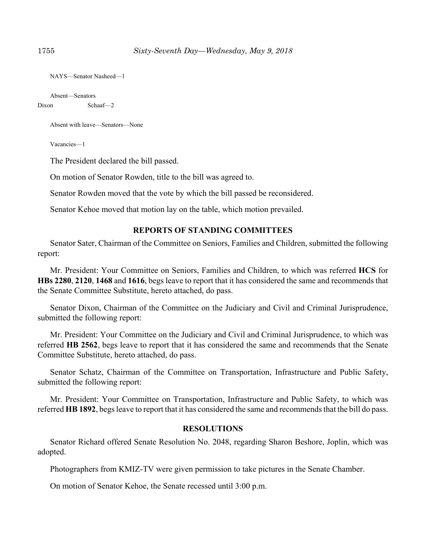```
NAYS—Senator Nasheed—1
```

```
Absent—Senators
Dixon Schaaf—2
```
Absent with leave—Senators—None

Vacancies—1

The President declared the bill passed.

On motion of Senator Rowden, title to the bill was agreed to.

Senator Rowden moved that the vote by which the bill passed be reconsidered.

Senator Kehoe moved that motion lay on the table, which motion prevailed.

## **REPORTS OF STANDING COMMITTEES**

Senator Sater, Chairman of the Committee on Seniors, Families and Children, submitted the following report:

Mr. President: Your Committee on Seniors, Families and Children, to which was referred **HCS** for **HBs 2280**, **2120**, **1468** and **1616**, begs leave to report that it has considered the same and recommends that the Senate Committee Substitute, hereto attached, do pass.

Senator Dixon, Chairman of the Committee on the Judiciary and Civil and Criminal Jurisprudence, submitted the following report:

Mr. President: Your Committee on the Judiciary and Civil and Criminal Jurisprudence, to which was referred **HB 2562**, begs leave to report that it has considered the same and recommends that the Senate Committee Substitute, hereto attached, do pass.

Senator Schatz, Chairman of the Committee on Transportation, Infrastructure and Public Safety, submitted the following report:

Mr. President: Your Committee on Transportation, Infrastructure and Public Safety, to which was referred **HB 1892**, begs leave to report that it has considered the same and recommends that the bill do pass.

#### **RESOLUTIONS**

Senator Richard offered Senate Resolution No. 2048, regarding Sharon Beshore, Joplin, which was adopted.

Photographers from KMIZ-TV were given permission to take pictures in the Senate Chamber.

On motion of Senator Kehoe, the Senate recessed until 3:00 p.m.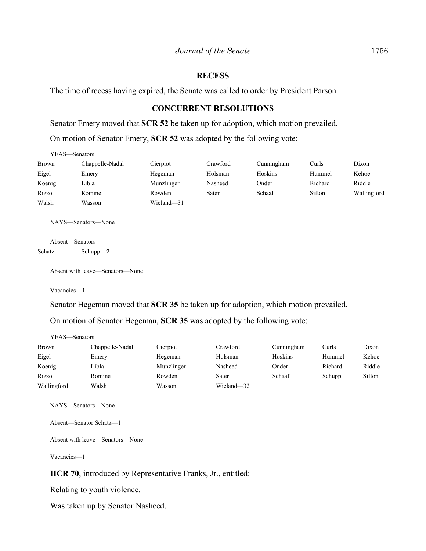#### **RECESS**

The time of recess having expired, the Senate was called to order by President Parson.

## **CONCURRENT RESOLUTIONS**

Senator Emery moved that **SCR 52** be taken up for adoption, which motion prevailed.

On motion of Senator Emery, **SCR 52** was adopted by the following vote:

| YEAS—Senators |                 |            |          |            |         |             |  |
|---------------|-----------------|------------|----------|------------|---------|-------------|--|
| <b>Brown</b>  | Chappelle-Nadal | Cierpiot   | Crawford | Cunningham | Curls   | Dixon       |  |
| Eigel         | Emery           | Hegeman    | Holsman  | Hoskins    | Hummel  | Kehoe       |  |
| Koenig        | Libla           | Munzlinger | Nasheed  | Onder      | Richard | Riddle      |  |
| Rizzo         | Romine          | Rowden     | Sater    | Schaaf     | Sifton  | Wallingford |  |
| Walsh         | Wasson          | Wieland-31 |          |            |         |             |  |

NAYS—Senators—None

Absent—Senators Schatz Schupp—2

Absent with leave—Senators—None

Vacancies—1

Senator Hegeman moved that **SCR 35** be taken up for adoption, which motion prevailed.

On motion of Senator Hegeman, **SCR 35** was adopted by the following vote:

| YEAS—Senators   |            |            |            |         |        |
|-----------------|------------|------------|------------|---------|--------|
| Chappelle-Nadal | Cierpiot   | Crawford   | Cunningham | Curls   | Dixon  |
| Emery           | Hegeman    | Holsman    | Hoskins    | Hummel  | Kehoe  |
| Libla           | Munzlinger | Nasheed    | Onder      | Richard | Riddle |
| Romine          | Rowden     | Sater      |            | Schupp  | Sifton |
| Walsh           | Wasson     | Wieland-32 |            |         |        |
|                 |            |            |            | Schaaf  |        |

NAYS—Senators—None

Absent—Senator Schatz—1

Absent with leave—Senators—None

Vacancies—1

**HCR 70**, introduced by Representative Franks, Jr., entitled:

Relating to youth violence.

Was taken up by Senator Nasheed.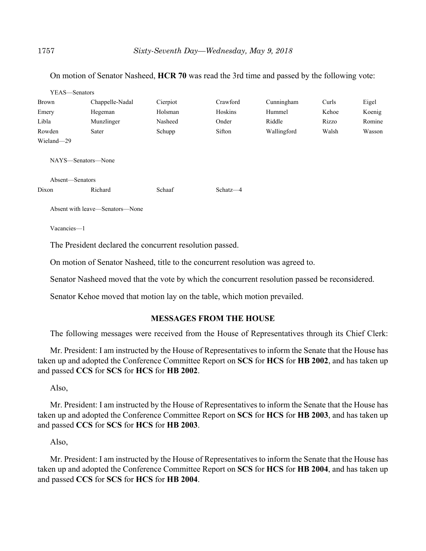#### On motion of Senator Nasheed, **HCR 70** was read the 3rd time and passed by the following vote:

| YEAS-Senators   |                                 |          |            |             |       |        |
|-----------------|---------------------------------|----------|------------|-------------|-------|--------|
| Brown           | Chappelle-Nadal                 | Cierpiot | Crawford   | Cunningham  | Curls | Eigel  |
| Emery           | Hegeman                         | Holsman  | Hoskins    | Hummel      | Kehoe | Koenig |
| Libla           | Munzlinger                      | Nasheed  | Onder      | Riddle      | Rizzo | Romine |
| Rowden          | Sater                           | Schupp   | Sifton     | Wallingford | Walsh | Wasson |
| Wieland-29      |                                 |          |            |             |       |        |
|                 | NAYS-Senators-None              |          |            |             |       |        |
| Absent—Senators |                                 |          |            |             |       |        |
| Dixon           | Richard                         | Schaaf   | $Schatz-4$ |             |       |        |
|                 | Absent with leave—Senators—None |          |            |             |       |        |

Vacancies—1

The President declared the concurrent resolution passed.

On motion of Senator Nasheed, title to the concurrent resolution was agreed to.

Senator Nasheed moved that the vote by which the concurrent resolution passed be reconsidered.

Senator Kehoe moved that motion lay on the table, which motion prevailed.

#### **MESSAGES FROM THE HOUSE**

The following messages were received from the House of Representatives through its Chief Clerk:

Mr. President: I am instructed by the House of Representatives to inform the Senate that the House has taken up and adopted the Conference Committee Report on **SCS** for **HCS** for **HB 2002**, and has taken up and passed **CCS** for **SCS** for **HCS** for **HB 2002**.

Also,

Mr. President: I am instructed by the House of Representatives to inform the Senate that the House has taken up and adopted the Conference Committee Report on **SCS** for **HCS** for **HB 2003**, and has taken up and passed **CCS** for **SCS** for **HCS** for **HB 2003**.

Also,

Mr. President: I am instructed by the House of Representatives to inform the Senate that the House has taken up and adopted the Conference Committee Report on **SCS** for **HCS** for **HB 2004**, and has taken up and passed **CCS** for **SCS** for **HCS** for **HB 2004**.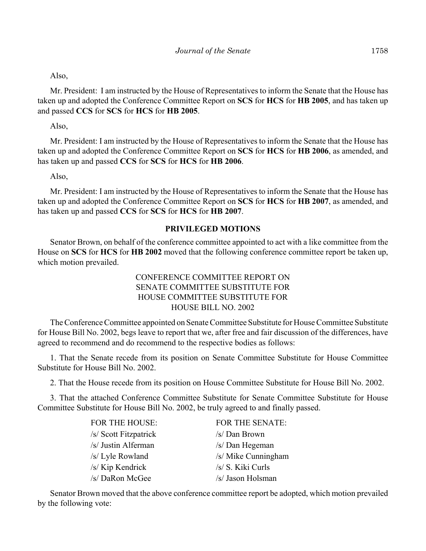## Also,

Mr. President: I am instructed by the House of Representatives to inform the Senate that the House has taken up and adopted the Conference Committee Report on **SCS** for **HCS** for **HB 2005**, and has taken up and passed **CCS** for **SCS** for **HCS** for **HB 2005**.

Also,

Mr. President: I am instructed by the House of Representatives to inform the Senate that the House has taken up and adopted the Conference Committee Report on **SCS** for **HCS** for **HB 2006**, as amended, and has taken up and passed **CCS** for **SCS** for **HCS** for **HB 2006**.

Also,

Mr. President: I am instructed by the House of Representatives to inform the Senate that the House has taken up and adopted the Conference Committee Report on **SCS** for **HCS** for **HB 2007**, as amended, and has taken up and passed **CCS** for **SCS** for **HCS** for **HB 2007**.

## **PRIVILEGED MOTIONS**

Senator Brown, on behalf of the conference committee appointed to act with a like committee from the House on **SCS** for **HCS** for **HB 2002** moved that the following conference committee report be taken up, which motion prevailed.

## CONFERENCE COMMITTEE REPORT ON SENATE COMMITTEE SUBSTITUTE FOR HOUSE COMMITTEE SUBSTITUTE FOR HOUSE BILL NO. 2002

The Conference Committee appointed on Senate Committee Substitute for House Committee Substitute for House Bill No. 2002, begs leave to report that we, after free and fair discussion of the differences, have agreed to recommend and do recommend to the respective bodies as follows:

1. That the Senate recede from its position on Senate Committee Substitute for House Committee Substitute for House Bill No. 2002.

2. That the House recede from its position on House Committee Substitute for House Bill No. 2002.

3. That the attached Conference Committee Substitute for Senate Committee Substitute for House Committee Substitute for House Bill No. 2002, be truly agreed to and finally passed.

| <b>FOR THE HOUSE:</b> | <b>FOR THE SENATE:</b> |
|-----------------------|------------------------|
| /s/ Scott Fitzpatrick | /s/ Dan Brown          |
| /s/ Justin Alferman   | /s/ Dan Hegeman        |
| /s/ Lyle Rowland      | /s/ Mike Cunningham    |
| /s/ Kip Kendrick      | /s/ S. Kiki Curls      |
| /s/ DaRon McGee       | /s/ Jason Holsman      |

Senator Brown moved that the above conference committee report be adopted, which motion prevailed by the following vote: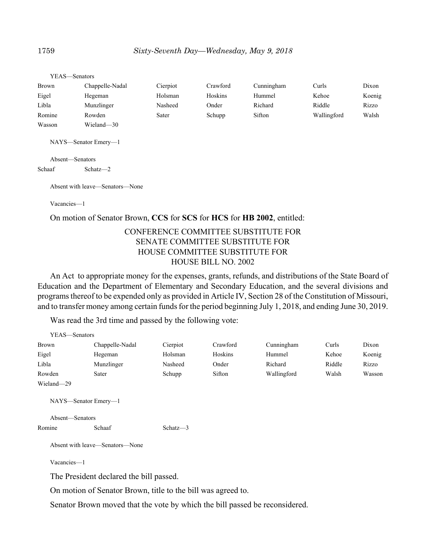| YEAS—Senators   |                      |          |          |            |             |        |
|-----------------|----------------------|----------|----------|------------|-------------|--------|
| Brown           | Chappelle-Nadal      | Cierpiot | Crawford | Cunningham | Curls       | Dixon  |
| Eigel           | Hegeman              | Holsman  | Hoskins  | Hummel     | Kehoe       | Koenig |
| Libla           | Munzlinger           | Nasheed  | Onder    | Richard    | Riddle      | Rizzo  |
| Romine          | Rowden               | Sater    | Schupp   | Sifton     | Wallingford | Walsh  |
| Wasson          | Wieland-30           |          |          |            |             |        |
|                 | NAYS—Senator Emery—1 |          |          |            |             |        |
| Absent-Senators |                      |          |          |            |             |        |
| Schaaf          | $Schatz - 2$         |          |          |            |             |        |

Absent with leave—Senators—None

Vacancies—1

#### On motion of Senator Brown, **CCS** for **SCS** for **HCS** for **HB 2002**, entitled:

## CONFERENCE COMMITTEE SUBSTITUTE FOR SENATE COMMITTEE SUBSTITUTE FOR HOUSE COMMITTEE SUBSTITUTE FOR HOUSE BILL NO. 2002

An Act to appropriate money for the expenses, grants, refunds, and distributions of the State Board of Education and the Department of Elementary and Secondary Education, and the several divisions and programs thereof to be expended only as provided in Article IV, Section 28 of the Constitution of Missouri, and to transfer money among certain funds for the period beginning July 1, 2018, and ending June 30, 2019.

Was read the 3rd time and passed by the following vote:

| YEAS—Senators   |                                 |             |          |             |        |        |
|-----------------|---------------------------------|-------------|----------|-------------|--------|--------|
| Brown           | Chappelle-Nadal                 | Cierpiot    | Crawford | Cunningham  | Curls  | Dixon  |
| Eigel           | Hegeman                         | Holsman     | Hoskins  | Hummel      | Kehoe  | Koenig |
| Libla           | Munzlinger                      | Nasheed     | Onder    | Richard     | Riddle | Rizzo  |
| Rowden          | Sater                           | Schupp      | Sifton   | Wallingford | Walsh  | Wasson |
| Wieland-29      |                                 |             |          |             |        |        |
| Absent—Senators | NAYS—Senator Emery—1            |             |          |             |        |        |
| Romine          | Schaaf                          | Schatz $-3$ |          |             |        |        |
|                 | Absent with leave—Senators—None |             |          |             |        |        |
| Vacancies-1     |                                 |             |          |             |        |        |

The President declared the bill passed.

On motion of Senator Brown, title to the bill was agreed to.

Senator Brown moved that the vote by which the bill passed be reconsidered.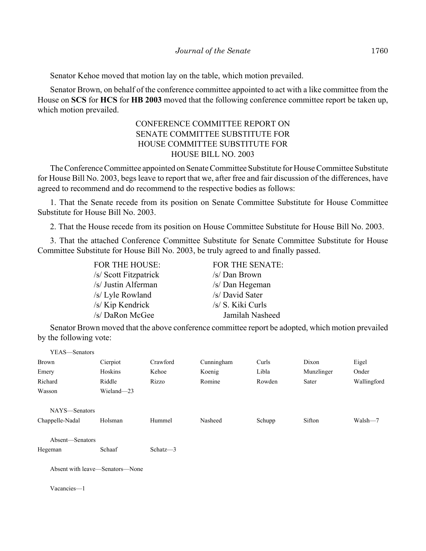Senator Kehoe moved that motion lay on the table, which motion prevailed.

Senator Brown, on behalf of the conference committee appointed to act with a like committee from the House on **SCS** for **HCS** for **HB 2003** moved that the following conference committee report be taken up, which motion prevailed.

# CONFERENCE COMMITTEE REPORT ON SENATE COMMITTEE SUBSTITUTE FOR HOUSE COMMITTEE SUBSTITUTE FOR HOUSE BILL NO. 2003

The Conference Committee appointed on Senate Committee Substitute for House Committee Substitute for House Bill No. 2003, begs leave to report that we, after free and fair discussion of the differences, have agreed to recommend and do recommend to the respective bodies as follows:

1. That the Senate recede from its position on Senate Committee Substitute for House Committee Substitute for House Bill No. 2003.

2. That the House recede from its position on House Committee Substitute for House Bill No. 2003.

3. That the attached Conference Committee Substitute for Senate Committee Substitute for House Committee Substitute for House Bill No. 2003, be truly agreed to and finally passed.

| <b>FOR THE HOUSE:</b> | <b>FOR THE SENATE:</b> |
|-----------------------|------------------------|
| /s/ Scott Fitzpatrick | /s/ Dan Brown          |
| /s/ Justin Alferman   | /s/ Dan Hegeman        |
| /s/ Lyle Rowland      | /s/ David Sater        |
| /s/ Kip Kendrick      | /s/ S. Kiki Curls      |
| /s/ DaRon McGee       | Jamilah Nasheed        |

Senator Brown moved that the above conference committee report be adopted, which motion prevailed by the following vote:

| YEAS—Senators                   |            |          |            |        |            |             |
|---------------------------------|------------|----------|------------|--------|------------|-------------|
| <b>Brown</b>                    | Cierpiot   | Crawford | Cunningham | Curls  | Dixon      | Eigel       |
| Emery                           | Hoskins    | Kehoe    | Koenig     | Libla  | Munzlinger | Onder       |
| Richard                         | Riddle     | Rizzo    | Romine     | Rowden | Sater      | Wallingford |
| Wasson                          | Wieland-23 |          |            |        |            |             |
| NAYS-Senators                   |            |          |            |        |            |             |
| Chappelle-Nadal                 | Holsman    | Hummel   | Nasheed    | Schupp | Sifton     | Walsh-7     |
| Absent-Senators                 |            |          |            |        |            |             |
| Hegeman                         | Schaaf     | Schatz-3 |            |        |            |             |
| Absent with leave-Senators-None |            |          |            |        |            |             |
| Vacancies-1                     |            |          |            |        |            |             |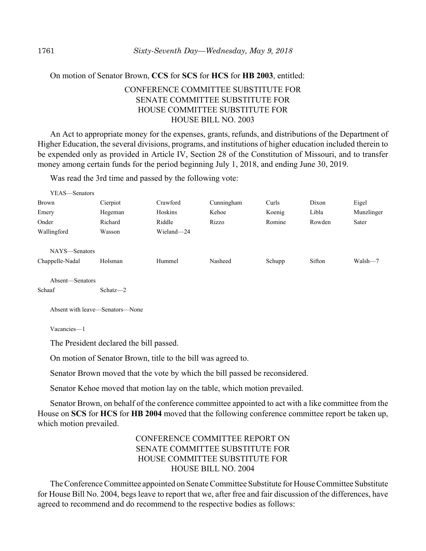#### On motion of Senator Brown, **CCS** for **SCS** for **HCS** for **HB 2003**, entitled:

# CONFERENCE COMMITTEE SUBSTITUTE FOR SENATE COMMITTEE SUBSTITUTE FOR HOUSE COMMITTEE SUBSTITUTE FOR HOUSE BILL NO. 2003

An Act to appropriate money for the expenses, grants, refunds, and distributions of the Department of Higher Education, the several divisions, programs, and institutions of higher education included therein to be expended only as provided in Article IV, Section 28 of the Constitution of Missouri, and to transfer money among certain funds for the period beginning July 1, 2018, and ending June 30, 2019.

Was read the 3rd time and passed by the following vote:

| YEAS—Senators   |          |            |            |        |        |            |
|-----------------|----------|------------|------------|--------|--------|------------|
| <b>Brown</b>    | Cierpiot | Crawford   | Cunningham | Curls  | Dixon  | Eigel      |
| Emery           | Hegeman  | Hoskins    | Kehoe      | Koenig | Libla  | Munzlinger |
| Onder           | Richard  | Riddle     | Rizzo      | Romine | Rowden | Sater      |
| Wallingford     | Wasson   | Wieland-24 |            |        |        |            |
|                 |          |            |            |        |        |            |
| NAYS—Senators   |          |            |            |        |        |            |
| Chappelle-Nadal | Holsman  | Hummel     | Nasheed    | Schupp | Sifton | Walsh-7    |
|                 |          |            |            |        |        |            |

Absent—Senators

Schaaf Schatz—2

Absent with leave—Senators—None

Vacancies—1

The President declared the bill passed.

On motion of Senator Brown, title to the bill was agreed to.

Senator Brown moved that the vote by which the bill passed be reconsidered.

Senator Kehoe moved that motion lay on the table, which motion prevailed.

Senator Brown, on behalf of the conference committee appointed to act with a like committee from the House on **SCS** for **HCS** for **HB 2004** moved that the following conference committee report be taken up, which motion prevailed.

# CONFERENCE COMMITTEE REPORT ON SENATE COMMITTEE SUBSTITUTE FOR HOUSE COMMITTEE SUBSTITUTE FOR HOUSE BILL NO. 2004

The Conference Committee appointed on Senate Committee Substitute for House Committee Substitute for House Bill No. 2004, begs leave to report that we, after free and fair discussion of the differences, have agreed to recommend and do recommend to the respective bodies as follows: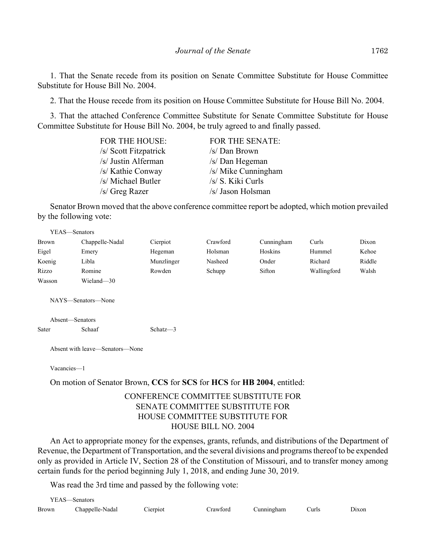1. That the Senate recede from its position on Senate Committee Substitute for House Committee Substitute for House Bill No. 2004.

2. That the House recede from its position on House Committee Substitute for House Bill No. 2004.

3. That the attached Conference Committee Substitute for Senate Committee Substitute for House Committee Substitute for House Bill No. 2004, be truly agreed to and finally passed.

| <b>FOR THE HOUSE:</b> | <b>FOR THE SENATE:</b> |
|-----------------------|------------------------|
| /s/ Scott Fitzpatrick | /s/ Dan Brown          |
| /s/ Justin Alferman   | /s/ Dan Hegeman        |
| /s/ Kathie Conway     | /s/ Mike Cunningham    |
| /s/ Michael Butler    | /s/ S. Kiki Curls      |
| /s/ Greg Razer        | /s/ Jason Holsman      |

Senator Brown moved that the above conference committee report be adopted, which motion prevailed by the following vote:

| YEAS—Senators |                    |            |          |            |             |        |
|---------------|--------------------|------------|----------|------------|-------------|--------|
| <b>Brown</b>  | Chappelle-Nadal    | Cierpiot   | Crawford | Cunningham | Curls       | Dixon  |
| Eigel         | Emery              | Hegeman    | Holsman  | Hoskins    | Hummel      | Kehoe  |
| Koenig        | Libla              | Munzlinger | Nasheed  | Onder      | Richard     | Riddle |
| Rizzo         | Romine             | Rowden     | Schupp   | Sifton     | Wallingford | Walsh  |
| Wasson        | Wieland-30         |            |          |            |             |        |
|               | NAYS—Senators—None |            |          |            |             |        |

Absent—Senators Sater Schaaf Schatz—3

Absent with leave—Senators—None

Vacancies—1

On motion of Senator Brown, **CCS** for **SCS** for **HCS** for **HB 2004**, entitled:

## CONFERENCE COMMITTEE SUBSTITUTE FOR SENATE COMMITTEE SUBSTITUTE FOR HOUSE COMMITTEE SUBSTITUTE FOR HOUSE BILL NO. 2004

An Act to appropriate money for the expenses, grants, refunds, and distributions of the Department of Revenue, the Department of Transportation, and the several divisions and programs thereof to be expended only as provided in Article IV, Section 28 of the Constitution of Missouri, and to transfer money among certain funds for the period beginning July 1, 2018, and ending June 30, 2019.

Was read the 3rd time and passed by the following vote:

| $VEAS$ — $\sim$ | Senators        |          |            |            |             |       |
|-----------------|-----------------|----------|------------|------------|-------------|-------|
| Brown           | Chappelle-Nadal | Cierpiot | Crawford - | Cunningham | <b>urls</b> | Jixon |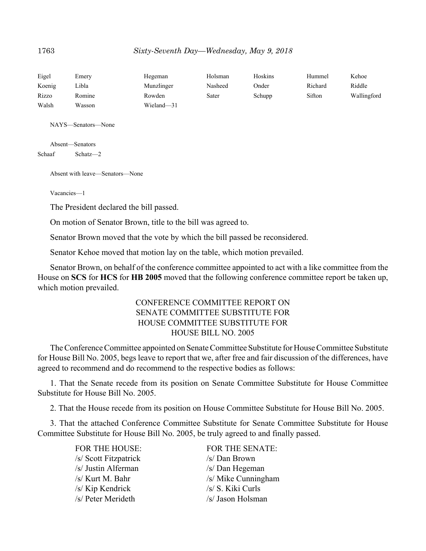| Eigel  | Emerv  | Hegeman    | Holsman | Hoskins | Hummel  | Kehoe       |
|--------|--------|------------|---------|---------|---------|-------------|
| Koenig | ∟ibla  | Munzlinger | Nasheed | Onder   | Richard | Riddle      |
| Rizzo  | Romine | Rowden     | Sater   | Schupp  | Sifton  | Wallingford |
| Walsh  | Wasson | Wieland-31 |         |         |         |             |

NAYS—Senators—None

Absent—Senators Schaaf Schatz—2

Absent with leave—Senators—None

Vacancies—1

The President declared the bill passed.

On motion of Senator Brown, title to the bill was agreed to.

Senator Brown moved that the vote by which the bill passed be reconsidered.

Senator Kehoe moved that motion lay on the table, which motion prevailed.

Senator Brown, on behalf of the conference committee appointed to act with a like committee from the House on **SCS** for **HCS** for **HB 2005** moved that the following conference committee report be taken up, which motion prevailed.

# CONFERENCE COMMITTEE REPORT ON SENATE COMMITTEE SUBSTITUTE FOR HOUSE COMMITTEE SUBSTITUTE FOR HOUSE BILL NO. 2005

The Conference Committee appointed on Senate Committee Substitute for House Committee Substitute for House Bill No. 2005, begs leave to report that we, after free and fair discussion of the differences, have agreed to recommend and do recommend to the respective bodies as follows:

1. That the Senate recede from its position on Senate Committee Substitute for House Committee Substitute for House Bill No. 2005.

2. That the House recede from its position on House Committee Substitute for House Bill No. 2005.

3. That the attached Conference Committee Substitute for Senate Committee Substitute for House Committee Substitute for House Bill No. 2005, be truly agreed to and finally passed.

> /s/ Scott Fitzpatrick /s/ Dan Brown /s/ Justin Alferman /s/ Dan Hegeman /s/ Kip Kendrick /s/ S. Kiki Curls /s/ Peter Merideth /s/ Jason Holsman

FOR THE HOUSE: FOR THE SENATE: /s/ Kurt M. Bahr /s/ Mike Cunningham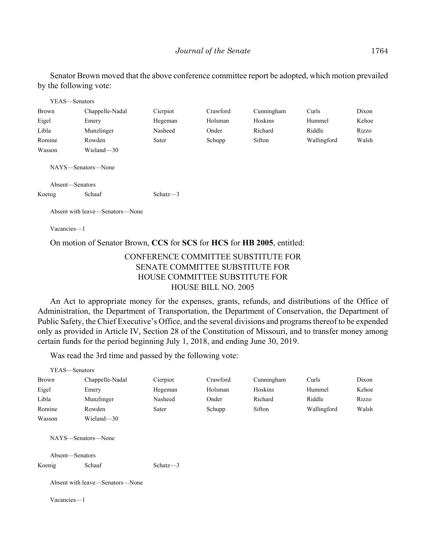Senator Brown moved that the above conference committee report be adopted, which motion prevailed by the following vote:

| YEAS—Senators                         |                                 |             |          |            |             |       |
|---------------------------------------|---------------------------------|-------------|----------|------------|-------------|-------|
| <b>Brown</b>                          | Chappelle-Nadal                 | Cierpiot    | Crawford | Cunningham | Curls       | Dixon |
| Eigel                                 | Emery                           | Hegeman     | Holsman  | Hoskins    | Hummel      | Kehoe |
| Libla                                 | Munzlinger                      | Nasheed     | Onder    | Richard    | Riddle      | Rizzo |
| Romine                                | Rowden                          | Sater       | Schupp   | Sifton     | Wallingford | Walsh |
| Wasson                                | Wieland-30                      |             |          |            |             |       |
| NAYS—Senators—None<br>Absent-Senators |                                 |             |          |            |             |       |
| Koenig                                | Schaaf                          | Schatz $-3$ |          |            |             |       |
|                                       | Absent with leave—Senators—None |             |          |            |             |       |

Vacancies—1

On motion of Senator Brown, **CCS** for **SCS** for **HCS** for **HB 2005**, entitled:

# CONFERENCE COMMITTEE SUBSTITUTE FOR SENATE COMMITTEE SUBSTITUTE FOR HOUSE COMMITTEE SUBSTITUTE FOR HOUSE BILL NO. 2005

An Act to appropriate money for the expenses, grants, refunds, and distributions of the Office of Administration, the Department of Transportation, the Department of Conservation, the Department of Public Safety, the Chief Executive's Office, and the several divisions and programs thereof to be expended only as provided in Article IV, Section 28 of the Constitution of Missouri, and to transfer money among certain funds for the period beginning July 1, 2018, and ending June 30, 2019.

Was read the 3rd time and passed by the following vote:

| YEAS—Senators   |                                 |             |          |            |             |       |
|-----------------|---------------------------------|-------------|----------|------------|-------------|-------|
| <b>Brown</b>    | Chappelle-Nadal                 | Cierpiot    | Crawford | Cunningham | Curls       | Dixon |
| Eigel           | Emery                           | Hegeman     | Holsman  | Hoskins    | Hummel      | Kehoe |
| Libla           | Munzlinger                      | Nasheed     | Onder    | Richard    | Riddle      | Rizzo |
| Romine          | Rowden                          | Sater       | Schupp   | Sifton     | Wallingford | Walsh |
| Wasson          | Wieland-30                      |             |          |            |             |       |
| Absent-Senators | NAYS—Senators—None              |             |          |            |             |       |
| Koenig          | Schaaf                          | Schatz $-3$ |          |            |             |       |
|                 | Absent with leave—Senators—None |             |          |            |             |       |
| Vacancies-1     |                                 |             |          |            |             |       |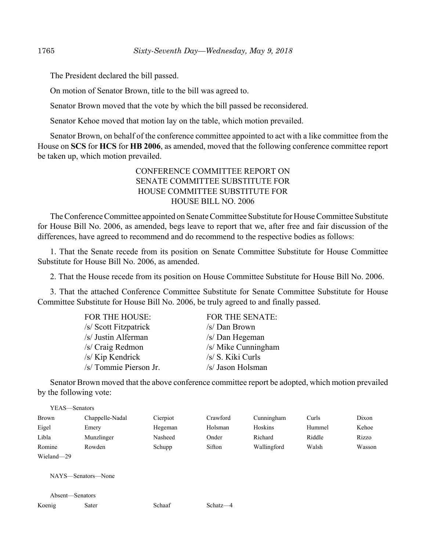The President declared the bill passed.

On motion of Senator Brown, title to the bill was agreed to.

Senator Brown moved that the vote by which the bill passed be reconsidered.

Senator Kehoe moved that motion lay on the table, which motion prevailed.

Senator Brown, on behalf of the conference committee appointed to act with a like committee from the House on **SCS** for **HCS** for **HB 2006**, as amended, moved that the following conference committee report be taken up, which motion prevailed.

## CONFERENCE COMMITTEE REPORT ON SENATE COMMITTEE SUBSTITUTE FOR HOUSE COMMITTEE SUBSTITUTE FOR HOUSE BILL NO. 2006

The Conference Committee appointed on Senate Committee Substitute for House Committee Substitute for House Bill No. 2006, as amended, begs leave to report that we, after free and fair discussion of the differences, have agreed to recommend and do recommend to the respective bodies as follows:

1. That the Senate recede from its position on Senate Committee Substitute for House Committee Substitute for House Bill No. 2006, as amended.

2. That the House recede from its position on House Committee Substitute for House Bill No. 2006.

3. That the attached Conference Committee Substitute for Senate Committee Substitute for House Committee Substitute for House Bill No. 2006, be truly agreed to and finally passed.

| <b>FOR THE HOUSE:</b>  | <b>FOR THE SENATE:</b> |
|------------------------|------------------------|
| /s/ Scott Fitzpatrick  | /s/ Dan Brown          |
| /s/ Justin Alferman    | /s/ Dan Hegeman        |
| /s/ Craig Redmon       | /s/ Mike Cunningham    |
| /s/ Kip Kendrick       | /s/ S. Kiki Curls      |
| /s/ Tommie Pierson Jr. | /s/ Jason Holsman      |

Senator Brown moved that the above conference committee report be adopted, which motion prevailed by the following vote:

| YEAS—Senators |                 |          |          |             |        |        |
|---------------|-----------------|----------|----------|-------------|--------|--------|
| Brown         | Chappelle-Nadal | Cierpiot | Crawford | Cunningham  | Curls  | Dixon  |
| Eigel         | Emery           | Hegeman  | Holsman  | Hoskins     | Hummel | Kehoe  |
| Libla         | Munzlinger      | Nasheed  | Onder    | Richard     | Riddle | Rizzo  |
| Romine        | Rowden          | Schupp   | Sifton   | Wallingford | Walsh  | Wasson |
| Wieland-29    |                 |          |          |             |        |        |

NAYS—Senators—None

|        | Absent—Senators |
|--------|-----------------|
| Koenig | Sater           |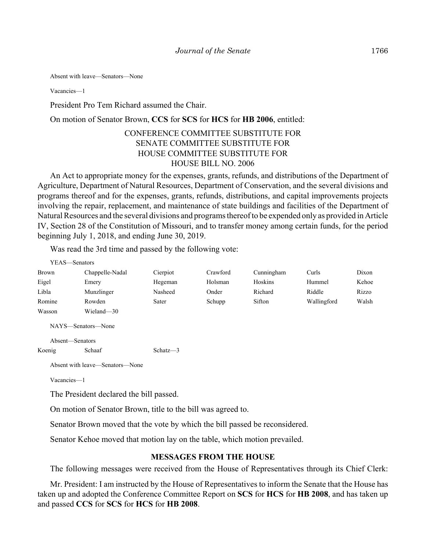Absent with leave—Senators—None

Vacancies—1

President Pro Tem Richard assumed the Chair.

On motion of Senator Brown, **CCS** for **SCS** for **HCS** for **HB 2006**, entitled:

# CONFERENCE COMMITTEE SUBSTITUTE FOR SENATE COMMITTEE SUBSTITUTE FOR HOUSE COMMITTEE SUBSTITUTE FOR HOUSE BILL NO. 2006

An Act to appropriate money for the expenses, grants, refunds, and distributions of the Department of Agriculture, Department of Natural Resources, Department of Conservation, and the several divisions and programs thereof and for the expenses, grants, refunds, distributions, and capital improvements projects involving the repair, replacement, and maintenance of state buildings and facilities of the Department of Natural Resources and the several divisions and programs thereof to be expended only as provided in Article IV, Section 28 of the Constitution of Missouri, and to transfer money among certain funds, for the period beginning July 1, 2018, and ending June 30, 2019.

Was read the 3rd time and passed by the following vote:

| YEAS—Senators   |                                 |             |          |            |             |       |
|-----------------|---------------------------------|-------------|----------|------------|-------------|-------|
| <b>Brown</b>    | Chappelle-Nadal                 | Cierpiot    | Crawford | Cunningham | Curls       | Dixon |
| Eigel           | Emery                           | Hegeman     | Holsman  | Hoskins    | Hummel      | Kehoe |
| Libla           | Munzlinger                      | Nasheed     | Onder    | Richard    | Riddle      | Rizzo |
| Romine          | Rowden                          | Sater       | Schupp   | Sifton     | Wallingford | Walsh |
| Wasson          | Wieland-30                      |             |          |            |             |       |
|                 | NAYS—Senators—None              |             |          |            |             |       |
| Absent-Senators |                                 |             |          |            |             |       |
| Koenig          | Schaaf                          | Schatz $-3$ |          |            |             |       |
|                 | Absent with leave—Senators—None |             |          |            |             |       |

Vacancies—1

The President declared the bill passed.

On motion of Senator Brown, title to the bill was agreed to.

Senator Brown moved that the vote by which the bill passed be reconsidered.

Senator Kehoe moved that motion lay on the table, which motion prevailed.

## **MESSAGES FROM THE HOUSE**

The following messages were received from the House of Representatives through its Chief Clerk:

Mr. President: I am instructed by the House of Representatives to inform the Senate that the House has taken up and adopted the Conference Committee Report on **SCS** for **HCS** for **HB 2008**, and has taken up and passed **CCS** for **SCS** for **HCS** for **HB 2008**.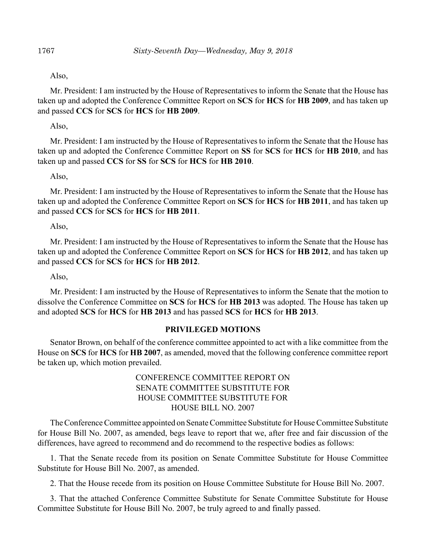#### Also,

Mr. President: I am instructed by the House of Representatives to inform the Senate that the House has taken up and adopted the Conference Committee Report on **SCS** for **HCS** for **HB 2009**, and has taken up and passed **CCS** for **SCS** for **HCS** for **HB 2009**.

Also,

Mr. President: I am instructed by the House of Representatives to inform the Senate that the House has taken up and adopted the Conference Committee Report on **SS** for **SCS** for **HCS** for **HB 2010**, and has taken up and passed **CCS** for **SS** for **SCS** for **HCS** for **HB 2010**.

#### Also,

Mr. President: I am instructed by the House of Representatives to inform the Senate that the House has taken up and adopted the Conference Committee Report on **SCS** for **HCS** for **HB 2011**, and has taken up and passed **CCS** for **SCS** for **HCS** for **HB 2011**.

Also,

Mr. President: I am instructed by the House of Representatives to inform the Senate that the House has taken up and adopted the Conference Committee Report on **SCS** for **HCS** for **HB 2012**, and has taken up and passed **CCS** for **SCS** for **HCS** for **HB 2012**.

Also,

Mr. President: I am instructed by the House of Representatives to inform the Senate that the motion to dissolve the Conference Committee on **SCS** for **HCS** for **HB 2013** was adopted. The House has taken up and adopted **SCS** for **HCS** for **HB 2013** and has passed **SCS** for **HCS** for **HB 2013**.

#### **PRIVILEGED MOTIONS**

Senator Brown, on behalf of the conference committee appointed to act with a like committee from the House on **SCS** for **HCS** for **HB 2007**, as amended, moved that the following conference committee report be taken up, which motion prevailed.

# CONFERENCE COMMITTEE REPORT ON SENATE COMMITTEE SUBSTITUTE FOR HOUSE COMMITTEE SUBSTITUTE FOR HOUSE BILL NO. 2007

The Conference Committee appointed on Senate Committee Substitute for House Committee Substitute for House Bill No. 2007, as amended, begs leave to report that we, after free and fair discussion of the differences, have agreed to recommend and do recommend to the respective bodies as follows:

1. That the Senate recede from its position on Senate Committee Substitute for House Committee Substitute for House Bill No. 2007, as amended.

2. That the House recede from its position on House Committee Substitute for House Bill No. 2007.

3. That the attached Conference Committee Substitute for Senate Committee Substitute for House Committee Substitute for House Bill No. 2007, be truly agreed to and finally passed.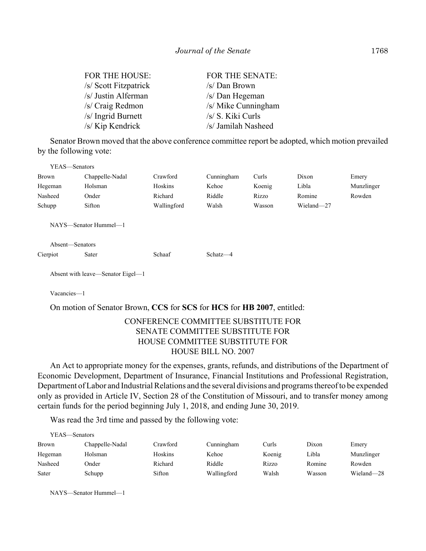| <b>FOR THE HOUSE:</b> | <b>FOR THE SENATE:</b> |
|-----------------------|------------------------|
| /s/ Scott Fitzpatrick | /s/ Dan Brown          |
| /s/ Justin Alferman   | /s/ Dan Hegeman        |
| /s/ Craig Redmon      | /s/ Mike Cunningham    |
| /s/ Ingrid Burnett    | /s/ S. Kiki Curls      |
| /s/ Kip Kendrick      | /s/ Jamilah Nasheed    |

Senator Brown moved that the above conference committee report be adopted, which motion prevailed by the following vote:

| YEAS—Senators |                       |             |            |        |            |            |
|---------------|-----------------------|-------------|------------|--------|------------|------------|
| <b>Brown</b>  | Chappelle-Nadal       | Crawford    | Cunningham | Curls  | Dixon      | Emery      |
| Hegeman       | Holsman               | Hoskins     | Kehoe      | Koenig | Libla      | Munzlinger |
| Nasheed       | Onder                 | Richard     | Riddle     | Rizzo  | Romine     | Rowden     |
| Schupp        | Sifton                | Wallingford | Walsh      | Wasson | Wieland-27 |            |
|               | NAYS—Senator Hummel—1 |             |            |        |            |            |

Absent—Senators

Cierpiot Sater Schaaf Schatz—4

Absent with leave—Senator Eigel—1

Vacancies—1

On motion of Senator Brown, **CCS** for **SCS** for **HCS** for **HB 2007**, entitled:

# CONFERENCE COMMITTEE SUBSTITUTE FOR SENATE COMMITTEE SUBSTITUTE FOR HOUSE COMMITTEE SUBSTITUTE FOR HOUSE BILL NO. 2007

An Act to appropriate money for the expenses, grants, refunds, and distributions of the Department of Economic Development, Department of Insurance, Financial Institutions and Professional Registration, Department of Labor and Industrial Relations and the several divisions and programs thereof to be expended only as provided in Article IV, Section 28 of the Constitution of Missouri, and to transfer money among certain funds for the period beginning July 1, 2018, and ending June 30, 2019.

Was read the 3rd time and passed by the following vote:

| YEAS—Senators |                 |          |             |        |        |            |
|---------------|-----------------|----------|-------------|--------|--------|------------|
| Brown         | Chappelle-Nadal | Crawford | Cunningham  | Curls  | Dixon  | Emery      |
| Hegeman       | Holsman         | Hoskins  | Kehoe       | Koenig | Libla  | Munzlinger |
| Nasheed       | Onder           | Richard  | Riddle      | Rizzo  | Romine | Rowden     |
| Sater         | Schupp          | Sifton   | Wallingford | Walsh  | Wasson | Wieland-28 |

NAYS—Senator Hummel—1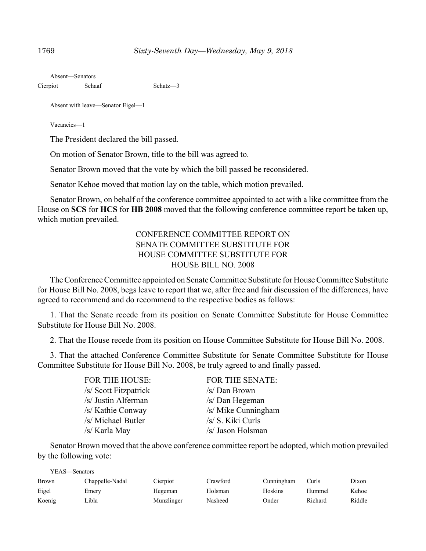|          | Absent—Senators |             |
|----------|-----------------|-------------|
| Cierpiot | Schaaf          | Schatz $-3$ |

Absent with leave—Senator Eigel—1

Vacancies—1

The President declared the bill passed.

On motion of Senator Brown, title to the bill was agreed to.

Senator Brown moved that the vote by which the bill passed be reconsidered.

Senator Kehoe moved that motion lay on the table, which motion prevailed.

Senator Brown, on behalf of the conference committee appointed to act with a like committee from the House on **SCS** for **HCS** for **HB 2008** moved that the following conference committee report be taken up, which motion prevailed.

# CONFERENCE COMMITTEE REPORT ON SENATE COMMITTEE SUBSTITUTE FOR HOUSE COMMITTEE SUBSTITUTE FOR HOUSE BILL NO. 2008

The Conference Committee appointed on Senate Committee Substitute for House Committee Substitute for House Bill No. 2008, begs leave to report that we, after free and fair discussion of the differences, have agreed to recommend and do recommend to the respective bodies as follows:

1. That the Senate recede from its position on Senate Committee Substitute for House Committee Substitute for House Bill No. 2008.

2. That the House recede from its position on House Committee Substitute for House Bill No. 2008.

3. That the attached Conference Committee Substitute for Senate Committee Substitute for House Committee Substitute for House Bill No. 2008, be truly agreed to and finally passed.

| <b>FOR THE HOUSE:</b> | FOR THE SENATE:     |
|-----------------------|---------------------|
| /s/ Scott Fitzpatrick | /s/ Dan Brown       |
| /s/ Justin Alferman   | /s/ Dan Hegeman     |
| /s/ Kathie Conway     | /s/ Mike Cunningham |
| /s/ Michael Butler    | /s/ S. Kiki Curls   |
| /s/ Karla May         | /s/ Jason Holsman   |

Senator Brown moved that the above conference committee report be adopted, which motion prevailed by the following vote:

| YEAS—Senators |                 |            |          |            |         |        |
|---------------|-----------------|------------|----------|------------|---------|--------|
| Brown         | Chappelle-Nadal | Cierpiot   | Crawford | Cunningham | Curls   | Dixon  |
| Eigel         | Emery           | Hegeman    | Holsman  | Hoskins    | Hummel  | Kehoe  |
| Koenig        | Libla           | Munzlinger | Nasheed  | Onder      | Richard | Riddle |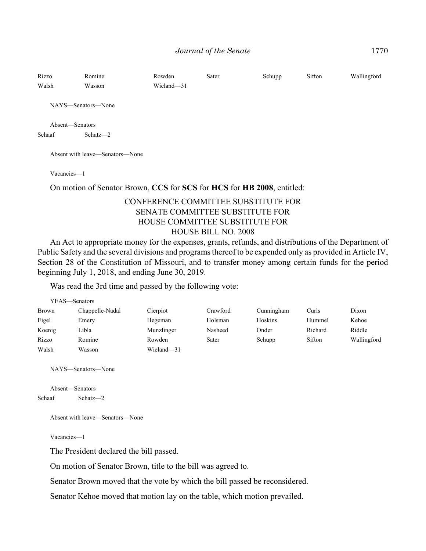| Rizzo<br>Walsh            | Romine<br>Wasson   | Rowden<br>Wieland-31 | Sater | Schupp | Sifton | Wallingford |
|---------------------------|--------------------|----------------------|-------|--------|--------|-------------|
|                           | NAYS—Senators—None |                      |       |        |        |             |
| Absent—Senators<br>Schaaf | Schatz-2           |                      |       |        |        |             |

Absent with leave—Senators—None

Vacancies—1

On motion of Senator Brown, **CCS** for **SCS** for **HCS** for **HB 2008**, entitled:

# CONFERENCE COMMITTEE SUBSTITUTE FOR SENATE COMMITTEE SUBSTITUTE FOR HOUSE COMMITTEE SUBSTITUTE FOR HOUSE BILL NO. 2008

An Act to appropriate money for the expenses, grants, refunds, and distributions of the Department of Public Safety and the several divisions and programs thereof to be expended only as provided in Article IV, Section 28 of the Constitution of Missouri, and to transfer money among certain funds for the period beginning July 1, 2018, and ending June 30, 2019.

Was read the 3rd time and passed by the following vote:

| YEAS—Senators |                 |            |          |            |         |             |
|---------------|-----------------|------------|----------|------------|---------|-------------|
| Brown         | Chappelle-Nadal | Cierpiot   | Crawford | Cunningham | Curls   | Dixon       |
| Eigel         | Emery           | Hegeman    | Holsman  | Hoskins    | Hummel  | Kehoe       |
| Koenig        | Libla           | Munzlinger | Nasheed  | Onder      | Richard | Riddle      |
| Rizzo         | Romine          | Rowden     | Sater    | Schupp     | Sifton  | Wallingford |
| Walsh         | Wasson          | Wieland-31 |          |            |         |             |

NAYS—Senators—None

```
Absent—Senators
Schaaf Schatz—2
```
Absent with leave—Senators—None

Vacancies—1

The President declared the bill passed.

On motion of Senator Brown, title to the bill was agreed to.

Senator Brown moved that the vote by which the bill passed be reconsidered.

Senator Kehoe moved that motion lay on the table, which motion prevailed.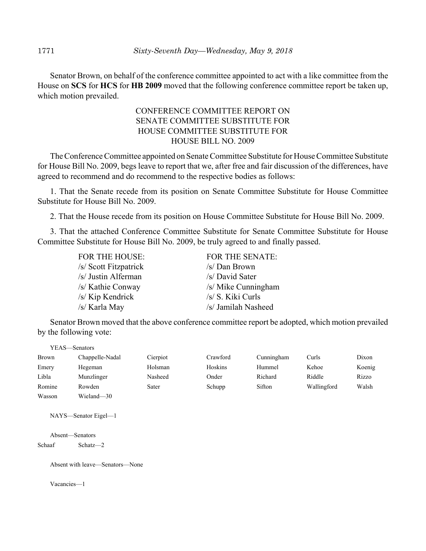Senator Brown, on behalf of the conference committee appointed to act with a like committee from the House on **SCS** for **HCS** for **HB 2009** moved that the following conference committee report be taken up, which motion prevailed.

# CONFERENCE COMMITTEE REPORT ON SENATE COMMITTEE SUBSTITUTE FOR HOUSE COMMITTEE SUBSTITUTE FOR HOUSE BILL NO. 2009

The Conference Committee appointed on Senate Committee Substitute for House Committee Substitute for House Bill No. 2009, begs leave to report that we, after free and fair discussion of the differences, have agreed to recommend and do recommend to the respective bodies as follows:

1. That the Senate recede from its position on Senate Committee Substitute for House Committee Substitute for House Bill No. 2009.

2. That the House recede from its position on House Committee Substitute for House Bill No. 2009.

3. That the attached Conference Committee Substitute for Senate Committee Substitute for House Committee Substitute for House Bill No. 2009, be truly agreed to and finally passed.

| <b>FOR THE HOUSE:</b> | <b>FOR THE SENATE:</b> |
|-----------------------|------------------------|
| /s/ Scott Fitzpatrick | /s/ Dan Brown          |
| /s/ Justin Alferman   | /s/ David Sater        |
| /s/ Kathie Conway     | /s/ Mike Cunningham    |
| /s/ Kip Kendrick      | /s/ S. Kiki Curls      |
| /s/ Karla May         | /s/ Jamilah Nasheed    |

Senator Brown moved that the above conference committee report be adopted, which motion prevailed by the following vote:

| YEAS—Senators |                 |          |          |            |             |        |
|---------------|-----------------|----------|----------|------------|-------------|--------|
| <b>Brown</b>  | Chappelle-Nadal | Cierpiot | Crawford | Cunningham | Curls       | Dixon  |
| Emery         | Hegeman         | Holsman  | Hoskins  | Hummel     | Kehoe       | Koenig |
| Libla         | Munzlinger      | Nasheed  | Onder    | Richard    | Riddle      | Rizzo  |
| Romine        | Rowden          | Sater    | Schupp   | Sifton     | Wallingford | Walsh  |
| Wasson        | Wieland-30      |          |          |            |             |        |

NAYS—Senator Eigel—1

Absent—Senators Schaaf Schatz—2

Absent with leave—Senators—None

Vacancies—1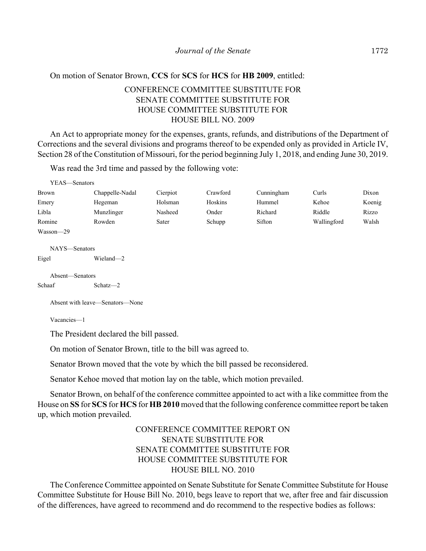## On motion of Senator Brown, **CCS** for **SCS** for **HCS** for **HB 2009**, entitled:

# CONFERENCE COMMITTEE SUBSTITUTE FOR SENATE COMMITTEE SUBSTITUTE FOR HOUSE COMMITTEE SUBSTITUTE FOR HOUSE BILL NO. 2009

An Act to appropriate money for the expenses, grants, refunds, and distributions of the Department of Corrections and the several divisions and programs thereof to be expended only as provided in Article IV, Section 28 of the Constitution of Missouri, for the period beginning July 1, 2018, and ending June 30, 2019.

Was read the 3rd time and passed by the following vote:

| YEAS—Senators |                 |          |          |            |             |        |
|---------------|-----------------|----------|----------|------------|-------------|--------|
| <b>Brown</b>  | Chappelle-Nadal | Cierpiot | Crawford | Cunningham | Curls       | Dixon  |
| Emery         | Hegeman         | Holsman  | Hoskins  | Hummel     | Kehoe       | Koenig |
| Libla         | Munzlinger      | Nasheed  | Onder    | Richard    | Riddle      | Rizzo  |
| Romine        | Rowden          | Sater    | Schupp   | Sifton     | Wallingford | Walsh  |
| Wasson-29     |                 |          |          |            |             |        |
| NAYS-Senators |                 |          |          |            |             |        |
| Eigel         | Wieland-2       |          |          |            |             |        |

Absent—Senators Schaaf Schatz—2

Absent with leave—Senators—None

Vacancies—1

The President declared the bill passed.

On motion of Senator Brown, title to the bill was agreed to.

Senator Brown moved that the vote by which the bill passed be reconsidered.

Senator Kehoe moved that motion lay on the table, which motion prevailed.

Senator Brown, on behalf of the conference committee appointed to act with a like committee from the House on **SS** for **SCS** for **HCS** for **HB 2010** moved that the following conference committee report be taken up, which motion prevailed.

# CONFERENCE COMMITTEE REPORT ON SENATE SUBSTITUTE FOR SENATE COMMITTEE SUBSTITUTE FOR HOUSE COMMITTEE SUBSTITUTE FOR HOUSE BILL NO. 2010

The Conference Committee appointed on Senate Substitute for Senate Committee Substitute for House Committee Substitute for House Bill No. 2010, begs leave to report that we, after free and fair discussion of the differences, have agreed to recommend and do recommend to the respective bodies as follows: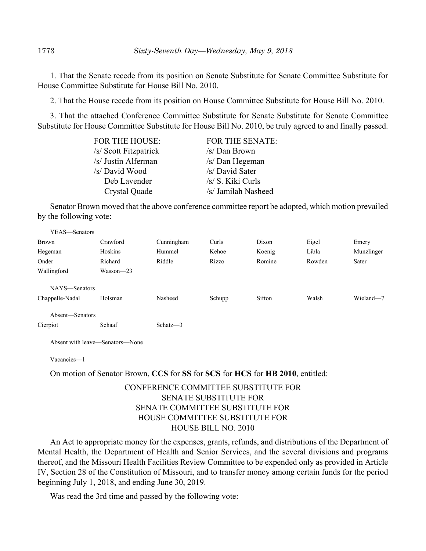1. That the Senate recede from its position on Senate Substitute for Senate Committee Substitute for House Committee Substitute for House Bill No. 2010.

2. That the House recede from its position on House Committee Substitute for House Bill No. 2010.

3. That the attached Conference Committee Substitute for Senate Substitute for Senate Committee Substitute for House Committee Substitute for House Bill No. 2010, be truly agreed to and finally passed.

| <b>FOR THE HOUSE:</b> | <b>FOR THE SENATE:</b> |
|-----------------------|------------------------|
| /s/ Scott Fitzpatrick | /s/ Dan Brown          |
| /s/ Justin Alferman   | /s/ Dan Hegeman        |
| /s/ David Wood        | /s/ David Sater        |
| Deb Lavender          | /s/ S. Kiki Curls      |
| Crystal Quade         | /s/ Jamilah Nasheed    |

Senator Brown moved that the above conference committee report be adopted, which motion prevailed by the following vote:

| YEAS-Senators   |               |             |        |        |        |            |
|-----------------|---------------|-------------|--------|--------|--------|------------|
| <b>Brown</b>    | Crawford      | Cunningham  | Curls  | Dixon  | Eigel  | Emery      |
| Hegeman         | Hoskins       | Hummel      | Kehoe  | Koenig | Libla  | Munzlinger |
| Onder           | Richard       | Riddle      | Rizzo  | Romine | Rowden | Sater      |
| Wallingford     | $Wasson - 23$ |             |        |        |        |            |
| NAYS—Senators   |               |             |        |        |        |            |
| Chappelle-Nadal | Holsman       | Nasheed     | Schupp | Sifton | Walsh  | Wieland-7  |
| Absent—Senators |               |             |        |        |        |            |
| Cierpiot        | Schaaf        | Schatz $-3$ |        |        |        |            |
|                 |               |             |        |        |        |            |

Absent with leave—Senators—None

Vacancies—1

On motion of Senator Brown, **CCS** for **SS** for **SCS** for **HCS** for **HB 2010**, entitled:

## CONFERENCE COMMITTEE SUBSTITUTE FOR SENATE SUBSTITUTE FOR SENATE COMMITTEE SUBSTITUTE FOR HOUSE COMMITTEE SUBSTITUTE FOR HOUSE BILL NO. 2010

An Act to appropriate money for the expenses, grants, refunds, and distributions of the Department of Mental Health, the Department of Health and Senior Services, and the several divisions and programs thereof, and the Missouri Health Facilities Review Committee to be expended only as provided in Article IV, Section 28 of the Constitution of Missouri, and to transfer money among certain funds for the period beginning July 1, 2018, and ending June 30, 2019.

Was read the 3rd time and passed by the following vote: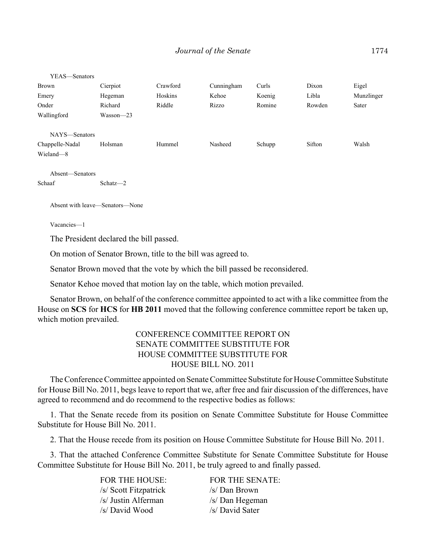| YEAS—Senators   |               |          |            |        |        |            |
|-----------------|---------------|----------|------------|--------|--------|------------|
| <b>Brown</b>    | Cierpiot      | Crawford | Cunningham | Curls  | Dixon  | Eigel      |
| Emery           | Hegeman       | Hoskins  | Kehoe      | Koenig | Libla  | Munzlinger |
| Onder           | Richard       | Riddle   | Rizzo      | Romine | Rowden | Sater      |
| Wallingford     | $Wasson - 23$ |          |            |        |        |            |
|                 |               |          |            |        |        |            |
| NAYS-Senators   |               |          |            |        |        |            |
| Chappelle-Nadal | Holsman       | Hummel   | Nasheed    | Schupp | Sifton | Walsh      |
| Wieland-8       |               |          |            |        |        |            |
|                 |               |          |            |        |        |            |
| Absent-Senators |               |          |            |        |        |            |
| Schaaf          | Schatz-2      |          |            |        |        |            |

Absent with leave—Senators—None

Vacancies—1

The President declared the bill passed.

On motion of Senator Brown, title to the bill was agreed to.

Senator Brown moved that the vote by which the bill passed be reconsidered.

Senator Kehoe moved that motion lay on the table, which motion prevailed.

Senator Brown, on behalf of the conference committee appointed to act with a like committee from the House on **SCS** for **HCS** for **HB 2011** moved that the following conference committee report be taken up, which motion prevailed.

## CONFERENCE COMMITTEE REPORT ON SENATE COMMITTEE SUBSTITUTE FOR HOUSE COMMITTEE SUBSTITUTE FOR HOUSE BILL NO. 2011

The Conference Committee appointed on Senate Committee Substitute for House Committee Substitute for House Bill No. 2011, begs leave to report that we, after free and fair discussion of the differences, have agreed to recommend and do recommend to the respective bodies as follows:

1. That the Senate recede from its position on Senate Committee Substitute for House Committee Substitute for House Bill No. 2011.

2. That the House recede from its position on House Committee Substitute for House Bill No. 2011.

3. That the attached Conference Committee Substitute for Senate Committee Substitute for House Committee Substitute for House Bill No. 2011, be truly agreed to and finally passed.

> FOR THE HOUSE: FOR THE SENATE: /s/ Scott Fitzpatrick /s/ Dan Brown /s/ Justin Alferman /s/ Dan Hegeman /s/ David Wood /s/ David Sater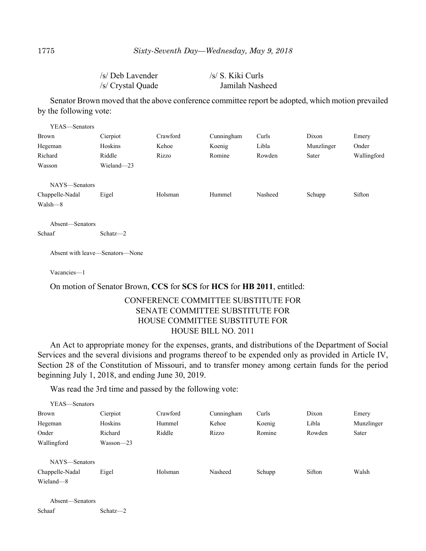| /s/ Deb Lavender  | /s/ S. Kiki Curls |
|-------------------|-------------------|
| /s/ Crystal Quade | Jamilah Nasheed   |

Senator Brown moved that the above conference committee report be adopted, which motion prevailed by the following vote:

| YEAS-Senators   |            |          |            |         |            |             |
|-----------------|------------|----------|------------|---------|------------|-------------|
| <b>Brown</b>    | Cierpiot   | Crawford | Cunningham | Curls   | Dixon      | Emery       |
| Hegeman         | Hoskins    | Kehoe    | Koenig     | Libla   | Munzlinger | Onder       |
| Richard         | Riddle     | Rizzo    | Romine     | Rowden  | Sater      | Wallingford |
| Wasson          | Wieland-23 |          |            |         |            |             |
|                 |            |          |            |         |            |             |
| NAYS-Senators   |            |          |            |         |            |             |
| Chappelle-Nadal | Eigel      | Holsman  | Hummel     | Nasheed | Schupp     | Sifton      |
| Walsh—8         |            |          |            |         |            |             |
|                 |            |          |            |         |            |             |

Absent—Senators Schaaf Schatz—2

Absent with leave—Senators—None

Vacancies—1

On motion of Senator Brown, **CCS** for **SCS** for **HCS** for **HB 2011**, entitled:

## CONFERENCE COMMITTEE SUBSTITUTE FOR SENATE COMMITTEE SUBSTITUTE FOR HOUSE COMMITTEE SUBSTITUTE FOR HOUSE BILL NO. 2011

An Act to appropriate money for the expenses, grants, and distributions of the Department of Social Services and the several divisions and programs thereof to be expended only as provided in Article IV, Section 28 of the Constitution of Missouri, and to transfer money among certain funds for the period beginning July 1, 2018, and ending June 30, 2019.

Was read the 3rd time and passed by the following vote:

| YEAS—Senators   |               |          |            |        |        |            |
|-----------------|---------------|----------|------------|--------|--------|------------|
| <b>Brown</b>    | Cierpiot      | Crawford | Cunningham | Curls  | Dixon  | Emery      |
| Hegeman         | Hoskins       | Hummel   | Kehoe      | Koenig | Libla  | Munzlinger |
| Onder           | Richard       | Riddle   | Rizzo      | Romine | Rowden | Sater      |
| Wallingford     | $Wasson - 23$ |          |            |        |        |            |
| NAYS—Senators   |               |          |            |        |        |            |
| Chappelle-Nadal | Eigel         | Holsman  | Nasheed    | Schupp | Sifton | Walsh      |
| Wieland-8       |               |          |            |        |        |            |

Absent—Senators Schaaf Schatz—2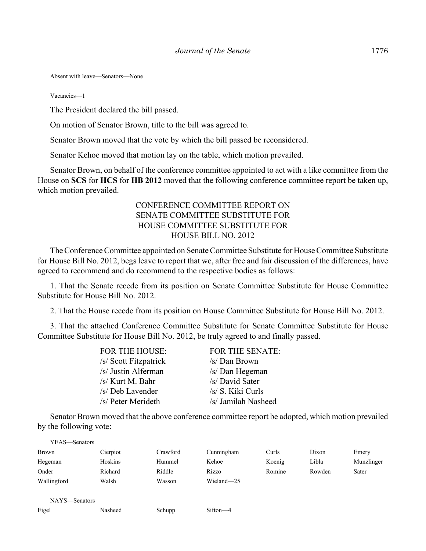Absent with leave—Senators—None

Vacancies—1

The President declared the bill passed.

On motion of Senator Brown, title to the bill was agreed to.

Senator Brown moved that the vote by which the bill passed be reconsidered.

Senator Kehoe moved that motion lay on the table, which motion prevailed.

Senator Brown, on behalf of the conference committee appointed to act with a like committee from the House on **SCS** for **HCS** for **HB 2012** moved that the following conference committee report be taken up, which motion prevailed.

# CONFERENCE COMMITTEE REPORT ON SENATE COMMITTEE SUBSTITUTE FOR HOUSE COMMITTEE SUBSTITUTE FOR HOUSE BILL NO. 2012

The Conference Committee appointed on Senate Committee Substitute for House Committee Substitute for House Bill No. 2012, begs leave to report that we, after free and fair discussion of the differences, have agreed to recommend and do recommend to the respective bodies as follows:

1. That the Senate recede from its position on Senate Committee Substitute for House Committee Substitute for House Bill No. 2012.

2. That the House recede from its position on House Committee Substitute for House Bill No. 2012.

3. That the attached Conference Committee Substitute for Senate Committee Substitute for House Committee Substitute for House Bill No. 2012, be truly agreed to and finally passed.

| FOR THE HOUSE:        | <b>FOR THE SENATE:</b> |
|-----------------------|------------------------|
| /s/ Scott Fitzpatrick | /s/ Dan Brown          |
| /s/ Justin Alferman   | /s/ Dan Hegeman        |
| /s/ Kurt M. Bahr      | /s/ David Sater        |
| /s/ Deb Lavender      | /s/ S. Kiki Curls      |
| /s/ Peter Merideth    | /s/ Jamilah Nasheed    |

Senator Brown moved that the above conference committee report be adopted, which motion prevailed by the following vote:

| YEAS—Senators |          |          |            |        |        |            |
|---------------|----------|----------|------------|--------|--------|------------|
| <b>Brown</b>  | Cierpiot | Crawford | Cunningham | Curls  | Dixon  | Emery      |
| Hegeman       | Hoskins  | Hummel   | Kehoe      | Koenig | Libla  | Munzlinger |
| Onder         | Richard  | Riddle   | Rizzo      | Romine | Rowden | Sater      |
| Wallingford   | Walsh    | Wasson   | Wieland-25 |        |        |            |
|               |          |          |            |        |        |            |
| NAYS-Senators |          |          |            |        |        |            |
| Eigel         | Nasheed  | Schupp   | $Sifton-4$ |        |        |            |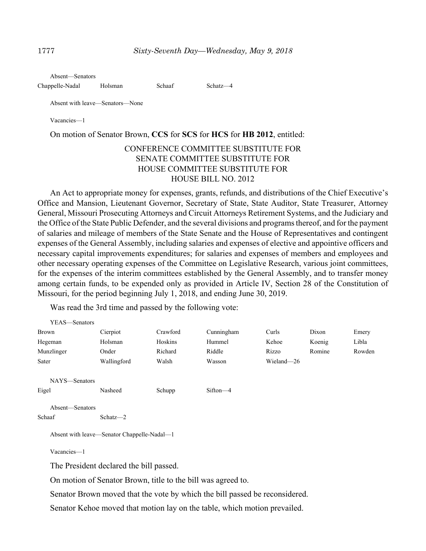Absent—Senators

Chappelle-Nadal Holsman Schaaf Schatz—4

Absent with leave—Senators—None

Vacancies—1

On motion of Senator Brown, **CCS** for **SCS** for **HCS** for **HB 2012**, entitled:

## CONFERENCE COMMITTEE SUBSTITUTE FOR SENATE COMMITTEE SUBSTITUTE FOR HOUSE COMMITTEE SUBSTITUTE FOR HOUSE BILL NO. 2012

An Act to appropriate money for expenses, grants, refunds, and distributions of the Chief Executive's Office and Mansion, Lieutenant Governor, Secretary of State, State Auditor, State Treasurer, Attorney General, Missouri Prosecuting Attorneys and Circuit Attorneys Retirement Systems, and the Judiciary and the Office of the State Public Defender, and the several divisions and programs thereof, and for the payment of salaries and mileage of members of the State Senate and the House of Representatives and contingent expenses of the General Assembly, including salaries and expenses of elective and appointive officers and necessary capital improvements expenditures; for salaries and expenses of members and employees and other necessary operating expenses of the Committee on Legislative Research, various joint committees, for the expenses of the interim committees established by the General Assembly, and to transfer money among certain funds, to be expended only as provided in Article IV, Section 28 of the Constitution of Missouri, for the period beginning July 1, 2018, and ending June 30, 2019.

Was read the 3rd time and passed by the following vote:

| YEAS—Senators   |                                             |          |            |            |        |        |
|-----------------|---------------------------------------------|----------|------------|------------|--------|--------|
| <b>Brown</b>    | Cierpiot                                    | Crawford | Cunningham | Curls      | Dixon  | Emery  |
| Hegeman         | Holsman                                     | Hoskins  | Hummel     | Kehoe      | Koenig | Libla  |
| Munzlinger      | Onder                                       | Richard  | Riddle     | Rizzo      | Romine | Rowden |
| Sater           | Wallingford                                 | Walsh    | Wasson     | Wieland-26 |        |        |
| NAYS-Senators   |                                             |          |            |            |        |        |
| Eigel           | Nasheed                                     | Schupp   | Sifton-4   |            |        |        |
| Absent-Senators |                                             |          |            |            |        |        |
| Schaaf          | Schatz-2                                    |          |            |            |        |        |
|                 | Absent with leave—Senator Chappelle-Nadal—1 |          |            |            |        |        |
| Vacancies-1     |                                             |          |            |            |        |        |
|                 | The President declared the bill passed.     |          |            |            |        |        |

On motion of Senator Brown, title to the bill was agreed to.

Senator Brown moved that the vote by which the bill passed be reconsidered.

Senator Kehoe moved that motion lay on the table, which motion prevailed.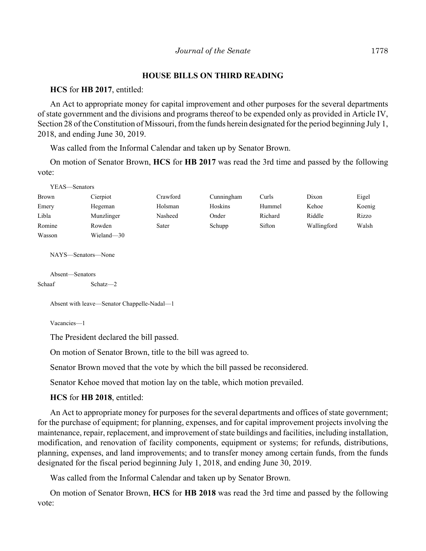## **HOUSE BILLS ON THIRD READING**

#### **HCS** for **HB 2017**, entitled:

An Act to appropriate money for capital improvement and other purposes for the several departments of state government and the divisions and programs thereof to be expended only as provided in Article IV, Section 28 of the Constitution of Missouri, from the funds herein designated for the period beginning July 1, 2018, and ending June 30, 2019.

Was called from the Informal Calendar and taken up by Senator Brown.

On motion of Senator Brown, **HCS** for **HB 2017** was read the 3rd time and passed by the following vote:

| YEAS—Senators      |            |          |            |         |             |        |
|--------------------|------------|----------|------------|---------|-------------|--------|
| <b>Brown</b>       | Cierpiot   | Crawford | Cunningham | Curls   | Dixon       | Eigel  |
| Emery              | Hegeman    | Holsman  | Hoskins    | Hummel  | Kehoe       | Koenig |
| Libla              | Munzlinger | Nasheed  | Onder      | Richard | Riddle      | Rizzo  |
| Romine             | Rowden     | Sater    | Schupp     | Sifton  | Wallingford | Walsh  |
| Wasson             | Wieland-30 |          |            |         |             |        |
|                    |            |          |            |         |             |        |
| NAYS—Senators—None |            |          |            |         |             |        |

```
Absent—Senators
Schaaf Schatz—2
```
Absent with leave—Senator Chappelle-Nadal—1

Vacancies—1

The President declared the bill passed.

On motion of Senator Brown, title to the bill was agreed to.

Senator Brown moved that the vote by which the bill passed be reconsidered.

Senator Kehoe moved that motion lay on the table, which motion prevailed.

**HCS** for **HB 2018**, entitled:

An Act to appropriate money for purposes for the several departments and offices of state government; for the purchase of equipment; for planning, expenses, and for capital improvement projects involving the maintenance, repair, replacement, and improvement of state buildings and facilities, including installation, modification, and renovation of facility components, equipment or systems; for refunds, distributions, planning, expenses, and land improvements; and to transfer money among certain funds, from the funds designated for the fiscal period beginning July 1, 2018, and ending June 30, 2019.

Was called from the Informal Calendar and taken up by Senator Brown.

On motion of Senator Brown, **HCS** for **HB 2018** was read the 3rd time and passed by the following vote: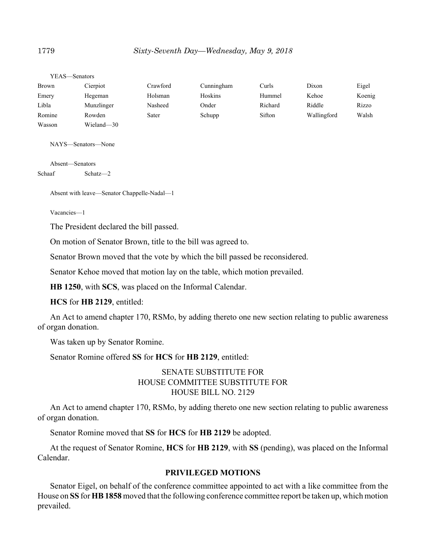| YEAS—Senators |            |          |            |         |             |        |
|---------------|------------|----------|------------|---------|-------------|--------|
| Brown         | Cierpiot   | Crawford | Cunningham | Curls   | Dixon       | Eigel  |
| Emery         | Hegeman    | Holsman  | Hoskins    | Hummel  | Kehoe       | Koenig |
| Libla         | Munzlinger | Nasheed  | Onder      | Richard | Riddle      | Rizzo  |
| Romine        | Rowden     | Sater    | Schupp     | Sifton  | Wallingford | Walsh  |
| Wasson        | Wieland-30 |          |            |         |             |        |

NAYS—Senators—None

Absent—Senators Schaaf Schatz—2

Absent with leave—Senator Chappelle-Nadal—1

Vacancies—1

The President declared the bill passed.

On motion of Senator Brown, title to the bill was agreed to.

Senator Brown moved that the vote by which the bill passed be reconsidered.

Senator Kehoe moved that motion lay on the table, which motion prevailed.

**HB 1250**, with **SCS**, was placed on the Informal Calendar.

**HCS** for **HB 2129**, entitled:

An Act to amend chapter 170, RSMo, by adding thereto one new section relating to public awareness of organ donation.

Was taken up by Senator Romine.

Senator Romine offered **SS** for **HCS** for **HB 2129**, entitled:

# SENATE SUBSTITUTE FOR HOUSE COMMITTEE SUBSTITUTE FOR HOUSE BILL NO. 2129

An Act to amend chapter 170, RSMo, by adding thereto one new section relating to public awareness of organ donation.

Senator Romine moved that **SS** for **HCS** for **HB 2129** be adopted.

At the request of Senator Romine, **HCS** for **HB 2129**, with **SS** (pending), was placed on the Informal Calendar.

#### **PRIVILEGED MOTIONS**

Senator Eigel, on behalf of the conference committee appointed to act with a like committee from the House on **SS** for **HB 1858** moved that the following conference committee report be taken up, which motion prevailed.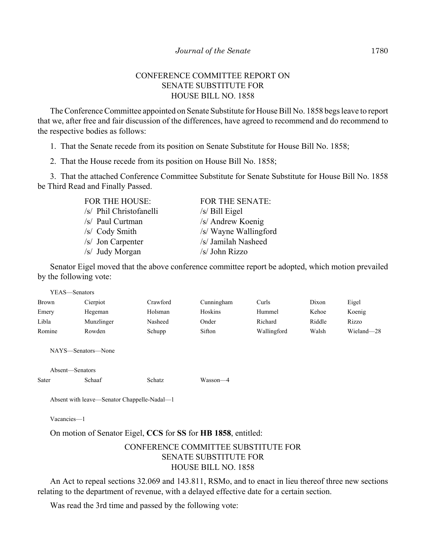## CONFERENCE COMMITTEE REPORT ON SENATE SUBSTITUTE FOR HOUSE BILL NO. 1858

The Conference Committee appointed on Senate Substitute for House Bill No. 1858 begs leave to report that we, after free and fair discussion of the differences, have agreed to recommend and do recommend to the respective bodies as follows:

1. That the Senate recede from its position on Senate Substitute for House Bill No. 1858;

2. That the House recede from its position on House Bill No. 1858;

3. That the attached Conference Committee Substitute for Senate Substitute for House Bill No. 1858 be Third Read and Finally Passed.

| FOR THE HOUSE:          | <b>FOR THE SENATE:</b> |
|-------------------------|------------------------|
| /s/ Phil Christofanelli | $/s/$ Bill Eigel       |
| /s/ Paul Curtman        | /s/ Andrew Koenig      |
| /s/ Cody Smith          | /s/ Wayne Wallingford  |
| /s/ Jon Carpenter       | /s/ Jamilah Nasheed    |
| /s/ Judy Morgan         | /s/ John Rizzo         |

Senator Eigel moved that the above conference committee report be adopted, which motion prevailed by the following vote:

| YEAS—Senators   |                    |          |            |             |        |            |  |
|-----------------|--------------------|----------|------------|-------------|--------|------------|--|
| <b>Brown</b>    | Cierpiot           | Crawford | Cunningham | Curls       | Dixon  | Eigel      |  |
| Emery           | Hegeman            | Holsman  | Hoskins    | Hummel      | Kehoe  | Koenig     |  |
| Libla           | Munzlinger         | Nasheed  | Onder      | Richard     | Riddle | Rizzo      |  |
| Romine          | Rowden             | Schupp   | Sifton     | Wallingford | Walsh  | Wieland-28 |  |
|                 | NAYS—Senators—None |          |            |             |        |            |  |
| Absent—Senators |                    |          |            |             |        |            |  |
| Sater           | Schaaf             | Schatz   | Wasson-4   |             |        |            |  |

Absent with leave—Senator Chappelle-Nadal—1

Vacancies—1

On motion of Senator Eigel, **CCS** for **SS** for **HB 1858**, entitled:

# CONFERENCE COMMITTEE SUBSTITUTE FOR SENATE SUBSTITUTE FOR HOUSE BILL NO. 1858

An Act to repeal sections 32.069 and 143.811, RSMo, and to enact in lieu thereof three new sections relating to the department of revenue, with a delayed effective date for a certain section.

Was read the 3rd time and passed by the following vote: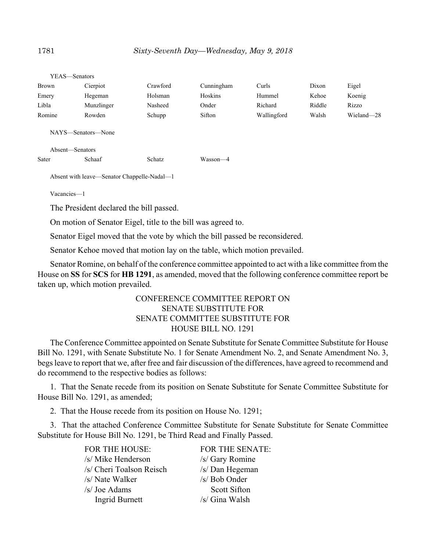| I LAS—SCHALOIS                              |            |          |            |             |        |            |  |
|---------------------------------------------|------------|----------|------------|-------------|--------|------------|--|
| Brown                                       | Cierpiot   | Crawford | Cunningham | Curls       | Dixon  | Eigel      |  |
| Emery                                       | Hegeman    | Holsman  | Hoskins    | Hummel      | Kehoe  | Koenig     |  |
| Libla                                       | Munzlinger | Nasheed  | Onder      | Richard     | Riddle | Rizzo      |  |
| Romine                                      | Rowden     | Schupp   | Sifton     | Wallingford | Walsh  | Wieland-28 |  |
| NAYS—Senators—None<br>Absent—Senators       |            |          |            |             |        |            |  |
| Sater                                       | Schaaf     | Schatz   | Wasson-4   |             |        |            |  |
| Absent with leave—Senator Chappelle-Nadal—1 |            |          |            |             |        |            |  |

Vacancies—1

YEAS—Senators

The President declared the bill passed.

On motion of Senator Eigel, title to the bill was agreed to.

Senator Eigel moved that the vote by which the bill passed be reconsidered.

Senator Kehoe moved that motion lay on the table, which motion prevailed.

Senator Romine, on behalf of the conference committee appointed to act with a like committee from the House on **SS** for **SCS** for **HB 1291**, as amended, moved that the following conference committee report be taken up, which motion prevailed.

# CONFERENCE COMMITTEE REPORT ON SENATE SUBSTITUTE FOR SENATE COMMITTEE SUBSTITUTE FOR HOUSE BILL NO. 1291

The Conference Committee appointed on Senate Substitute for Senate Committee Substitute for House Bill No. 1291, with Senate Substitute No. 1 for Senate Amendment No. 2, and Senate Amendment No. 3, begs leave to report that we, after free and fair discussion of the differences, have agreed to recommend and do recommend to the respective bodies as follows:

1. That the Senate recede from its position on Senate Substitute for Senate Committee Substitute for House Bill No. 1291, as amended;

2. That the House recede from its position on House No. 1291;

3. That the attached Conference Committee Substitute for Senate Substitute for Senate Committee Substitute for House Bill No. 1291, be Third Read and Finally Passed.

| FOR THE HOUSE:           | FOR THE SENATE:     |
|--------------------------|---------------------|
| /s/ Mike Henderson       | /s/ Gary Romine     |
| /s/ Cheri Toalson Reisch | /s/ Dan Hegeman     |
| /s/ Nate Walker          | /s/ Bob Onder       |
| /s/ Joe Adams            | <b>Scott Sifton</b> |
| <b>Ingrid Burnett</b>    | /s/ Gina Walsh      |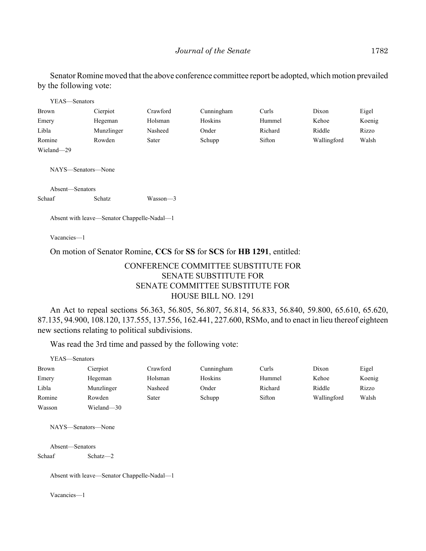Senator Romine moved that the above conference committee report be adopted, which motion prevailed by the following vote:

| YEAS—Senators   |                                             |            |            |         |             |        |
|-----------------|---------------------------------------------|------------|------------|---------|-------------|--------|
| Brown           | Cierpiot                                    | Crawford   | Cunningham | Curls   | Dixon       | Eigel  |
| Emery           | Hegeman                                     | Holsman    | Hoskins    | Hummel  | Kehoe       | Koenig |
| Libla           | Munzlinger                                  | Nasheed    | Onder      | Richard | Riddle      | Rizzo  |
| Romine          | Rowden                                      | Sater      | Schupp     | Sifton  | Wallingford | Walsh  |
| Wieland-29      |                                             |            |            |         |             |        |
| Absent-Senators | NAYS—Senators—None                          |            |            |         |             |        |
| Schaaf          | Schatz                                      | $Wasson-3$ |            |         |             |        |
| Vacancies-1     | Absent with leave—Senator Chappelle-Nadal—1 |            |            |         |             |        |

On motion of Senator Romine, **CCS** for **SS** for **SCS** for **HB 1291**, entitled:

# CONFERENCE COMMITTEE SUBSTITUTE FOR SENATE SUBSTITUTE FOR SENATE COMMITTEE SUBSTITUTE FOR HOUSE BILL NO. 1291

An Act to repeal sections 56.363, 56.805, 56.807, 56.814, 56.833, 56.840, 59.800, 65.610, 65.620, 87.135, 94.900, 108.120, 137.555, 137.556, 162.441, 227.600, RSMo, and to enact in lieu thereof eighteen new sections relating to political subdivisions.

Was read the 3rd time and passed by the following vote:

| YEAS—Senators |            |          |            |         |             |        |
|---------------|------------|----------|------------|---------|-------------|--------|
| <b>Brown</b>  | Cierpiot   | Crawford | Cunningham | Curls   | Dixon       | Eigel  |
| Emery         | Hegeman    | Holsman  | Hoskins    | Hummel  | Kehoe       | Koenig |
| Libla         | Munzlinger | Nasheed  | Onder      | Richard | Riddle      | Rizzo  |
| Romine        | Rowden     | Sater    | Schupp     | Sifton  | Wallingford | Walsh  |
| Wasson        | Wieland—30 |          |            |         |             |        |

NAYS—Senators—None

Absent—Senators Schaaf Schatz—2

Absent with leave—Senator Chappelle-Nadal—1

Vacancies—1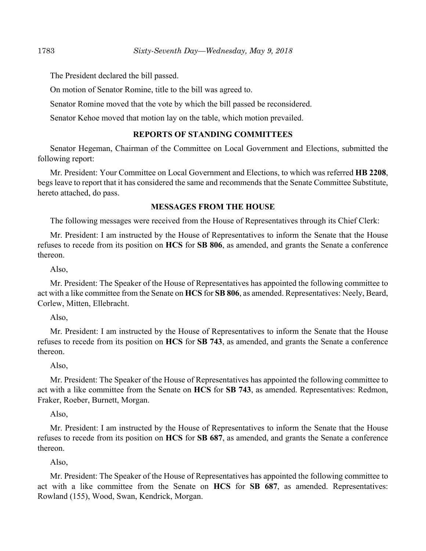The President declared the bill passed.

On motion of Senator Romine, title to the bill was agreed to.

Senator Romine moved that the vote by which the bill passed be reconsidered.

Senator Kehoe moved that motion lay on the table, which motion prevailed.

## **REPORTS OF STANDING COMMITTEES**

Senator Hegeman, Chairman of the Committee on Local Government and Elections, submitted the following report:

Mr. President: Your Committee on Local Government and Elections, to which was referred **HB 2208**, begs leave to report that it has considered the same and recommends that the Senate Committee Substitute, hereto attached, do pass.

## **MESSAGES FROM THE HOUSE**

The following messages were received from the House of Representatives through its Chief Clerk:

Mr. President: I am instructed by the House of Representatives to inform the Senate that the House refuses to recede from its position on **HCS** for **SB 806**, as amended, and grants the Senate a conference thereon.

Also,

Mr. President: The Speaker of the House of Representatives has appointed the following committee to act with a like committee from the Senate on **HCS** for **SB 806**, as amended. Representatives: Neely, Beard, Corlew, Mitten, Ellebracht.

Also,

Mr. President: I am instructed by the House of Representatives to inform the Senate that the House refuses to recede from its position on **HCS** for **SB 743**, as amended, and grants the Senate a conference thereon.

#### Also,

Mr. President: The Speaker of the House of Representatives has appointed the following committee to act with a like committee from the Senate on **HCS** for **SB 743**, as amended. Representatives: Redmon, Fraker, Roeber, Burnett, Morgan.

Also,

Mr. President: I am instructed by the House of Representatives to inform the Senate that the House refuses to recede from its position on **HCS** for **SB 687**, as amended, and grants the Senate a conference thereon.

Also,

Mr. President: The Speaker of the House of Representatives has appointed the following committee to act with a like committee from the Senate on **HCS** for **SB 687**, as amended. Representatives: Rowland (155), Wood, Swan, Kendrick, Morgan.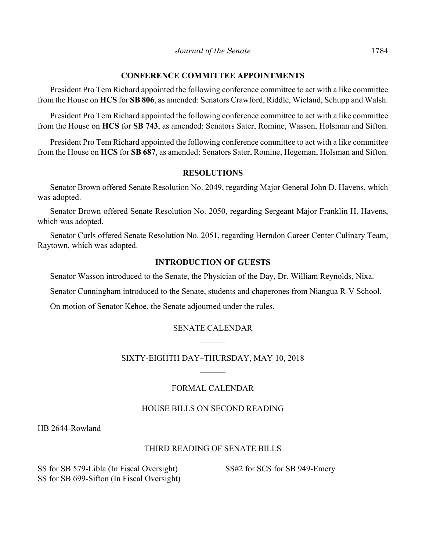## **CONFERENCE COMMITTEE APPOINTMENTS**

President Pro Tem Richard appointed the following conference committee to act with a like committee from the House on **HCS** for **SB 806**, as amended: Senators Crawford, Riddle, Wieland, Schupp and Walsh.

President Pro Tem Richard appointed the following conference committee to act with a like committee from the House on **HCS** for **SB 743**, as amended: Senators Sater, Romine, Wasson, Holsman and Sifton.

President Pro Tem Richard appointed the following conference committee to act with a like committee from the House on **HCS** for **SB 687**, as amended: Senators Sater, Romine, Hegeman, Holsman and Sifton.

#### **RESOLUTIONS**

Senator Brown offered Senate Resolution No. 2049, regarding Major General John D. Havens, which was adopted.

Senator Brown offered Senate Resolution No. 2050, regarding Sergeant Major Franklin H. Havens, which was adopted.

Senator Curls offered Senate Resolution No. 2051, regarding Herndon Career Center Culinary Team, Raytown, which was adopted.

## **INTRODUCTION OF GUESTS**

Senator Wasson introduced to the Senate, the Physician of the Day, Dr. William Reynolds, Nixa.

Senator Cunningham introduced to the Senate, students and chaperones from Niangua R-V School.

On motion of Senator Kehoe, the Senate adjourned under the rules.

## SENATE CALENDAR

## SIXTY-EIGHTH DAY–THURSDAY, MAY 10, 2018

## FORMAL CALENDAR

#### HOUSE BILLS ON SECOND READING

HB 2644-Rowland

## THIRD READING OF SENATE BILLS

SS for SB 579-Libla (In Fiscal Oversight) SS for SB 699-Sifton (In Fiscal Oversight) SS#2 for SCS for SB 949-Emery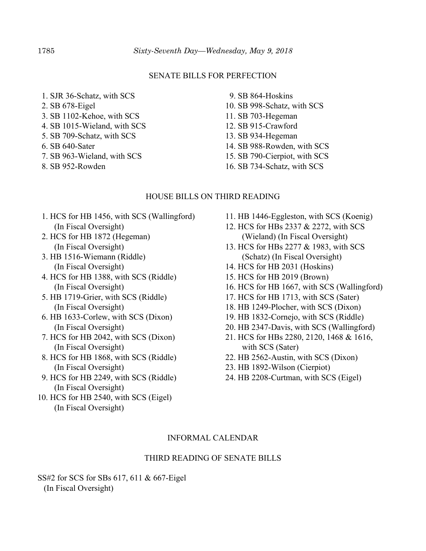#### SENATE BILLS FOR PERFECTION

- 1. SJR 36-Schatz, with SCS
- 2. SB 678-Eigel
- 3. SB 1102-Kehoe, with SCS
- 4. SB 1015-Wieland, with SCS
- 5. SB 709-Schatz, with SCS
- 6. SB 640-Sater
- 7. SB 963-Wieland, with SCS
- 8. SB 952-Rowden
- 9. SB 864-Hoskins
- 10. SB 998-Schatz, with SCS
- 11. SB 703-Hegeman
- 12. SB 915-Crawford
- 13. SB 934-Hegeman
- 14. SB 988-Rowden, with SCS
- 15. SB 790-Cierpiot, with SCS
- 16. SB 734-Schatz, with SCS

#### HOUSE BILLS ON THIRD READING

- 1. HCS for HB 1456, with SCS (Wallingford) (In Fiscal Oversight)
- 2. HCS for HB 1872 (Hegeman) (In Fiscal Oversight)
- 3. HB 1516-Wiemann (Riddle) (In Fiscal Oversight)
- 4. HCS for HB 1388, with SCS (Riddle) (In Fiscal Oversight)
- 5. HB 1719-Grier, with SCS (Riddle) (In Fiscal Oversight)
- 6. HB 1633-Corlew, with SCS (Dixon) (In Fiscal Oversight)
- 7. HCS for HB 2042, with SCS (Dixon) (In Fiscal Oversight)
- 8. HCS for HB 1868, with SCS (Riddle) (In Fiscal Oversight)
- 9. HCS for HB 2249, with SCS (Riddle) (In Fiscal Oversight)
- 10. HCS for HB 2540, with SCS (Eigel) (In Fiscal Oversight)
- 11. HB 1446-Eggleston, with SCS (Koenig)
- 12. HCS for HBs 2337 & 2272, with SCS (Wieland) (In Fiscal Oversight)
- 13. HCS for HBs 2277 & 1983, with SCS (Schatz) (In Fiscal Oversight)
- 14. HCS for HB 2031 (Hoskins)
- 15. HCS for HB 2019 (Brown)
- 16. HCS for HB 1667, with SCS (Wallingford)
- 17. HCS for HB 1713, with SCS (Sater)
- 18. HB 1249-Plocher, with SCS (Dixon)
- 19. HB 1832-Cornejo, with SCS (Riddle)
- 20. HB 2347-Davis, with SCS (Wallingford)
- 21. HCS for HBs 2280, 2120, 1468 & 1616, with SCS (Sater)
- 22. HB 2562-Austin, with SCS (Dixon)
- 23. HB 1892-Wilson (Cierpiot)
- 24. HB 2208-Curtman, with SCS (Eigel)

#### INFORMAL CALENDAR

#### THIRD READING OF SENATE BILLS

SS#2 for SCS for SBs 617, 611 & 667-Eigel (In Fiscal Oversight)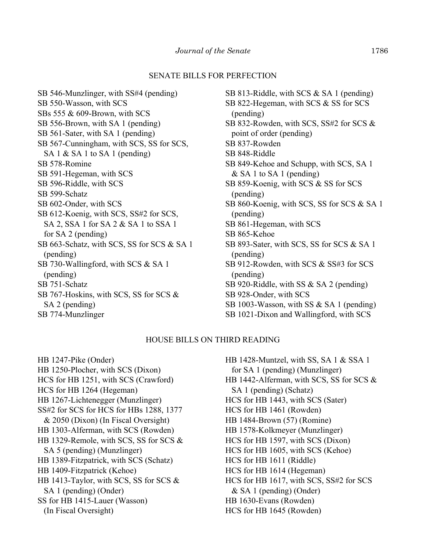#### SENATE BILLS FOR PERFECTION

SB 546-Munzlinger, with SS#4 (pending) SB 550-Wasson, with SCS SBs 555 & 609-Brown, with SCS SB 556-Brown, with SA 1 (pending) SB 561-Sater, with SA 1 (pending) SB 567-Cunningham, with SCS, SS for SCS, SA 1 & SA 1 to SA 1 (pending) SB 578-Romine SB 591-Hegeman, with SCS SB 596-Riddle, with SCS SB 599-Schatz SB 602-Onder, with SCS SB 612-Koenig, with SCS, SS#2 for SCS, SA 2, SSA 1 for SA 2 & SA 1 to SSA 1 for SA 2 (pending) SB 663-Schatz, with SCS, SS for SCS & SA 1 (pending) SB 730-Wallingford, with SCS & SA 1 (pending) SB 751-Schatz SB 767-Hoskins, with SCS, SS for SCS & SA 2 (pending) SB 774-Munzlinger

SB 813-Riddle, with SCS & SA 1 (pending) SB 822-Hegeman, with SCS & SS for SCS (pending) SB 832-Rowden, with SCS, SS#2 for SCS & point of order (pending) SB 837-Rowden SB 848-Riddle SB 849-Kehoe and Schupp, with SCS, SA 1 & SA 1 to SA 1 (pending) SB 859-Koenig, with SCS & SS for SCS (pending) SB 860-Koenig, with SCS, SS for SCS & SA 1 (pending) SB 861-Hegeman, with SCS SB 865-Kehoe SB 893-Sater, with SCS, SS for SCS & SA 1 (pending) SB 912-Rowden, with SCS & SS#3 for SCS (pending) SB 920-Riddle, with SS & SA 2 (pending) SB 928-Onder, with SCS SB 1003-Wasson, with SS & SA 1 (pending) SB 1021-Dixon and Wallingford, with SCS

#### HOUSE BILLS ON THIRD READING

HB 1247-Pike (Onder) HB 1250-Plocher, with SCS (Dixon) HCS for HB 1251, with SCS (Crawford) HCS for HB 1264 (Hegeman) HB 1267-Lichtenegger (Munzlinger) SS#2 for SCS for HCS for HBs 1288, 1377 & 2050 (Dixon) (In Fiscal Oversight) HB 1303-Alferman, with SCS (Rowden) HB 1329-Remole, with SCS, SS for SCS & SA 5 (pending) (Munzlinger) HB 1389-Fitzpatrick, with SCS (Schatz) HB 1409-Fitzpatrick (Kehoe) HB 1413-Taylor, with SCS, SS for SCS & SA 1 (pending) (Onder) SS for HB 1415-Lauer (Wasson) (In Fiscal Oversight)

HB 1428-Muntzel, with SS, SA 1 & SSA 1 for SA 1 (pending) (Munzlinger) HB 1442-Alferman, with SCS, SS for SCS & SA 1 (pending) (Schatz) HCS for HB 1443, with SCS (Sater) HCS for HB 1461 (Rowden) HB 1484-Brown (57) (Romine) HB 1578-Kolkmeyer (Munzlinger) HCS for HB 1597, with SCS (Dixon) HCS for HB 1605, with SCS (Kehoe) HCS for HB 1611 (Riddle) HCS for HB 1614 (Hegeman) HCS for HB 1617, with SCS, SS#2 for SCS & SA 1 (pending) (Onder) HB 1630-Evans (Rowden) HCS for HB 1645 (Rowden)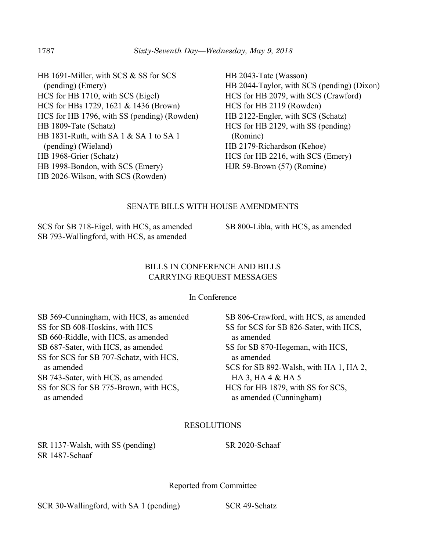HB 1691-Miller, with SCS & SS for SCS (pending) (Emery) HCS for HB 1710, with SCS (Eigel) HCS for HBs 1729, 1621 & 1436 (Brown) HCS for HB 1796, with SS (pending) (Rowden) HB 1809-Tate (Schatz) HB 1831-Ruth, with SA 1 & SA 1 to SA 1 (pending) (Wieland) HB 1968-Grier (Schatz) HB 1998-Bondon, with SCS (Emery) HB 2026-Wilson, with SCS (Rowden)

HB 2043-Tate (Wasson) HB 2044-Taylor, with SCS (pending) (Dixon) HCS for HB 2079, with SCS (Crawford) HCS for HB 2119 (Rowden) HB 2122-Engler, with SCS (Schatz) HCS for HB 2129, with SS (pending) (Romine) HB 2179-Richardson (Kehoe) HCS for HB 2216, with SCS (Emery) HJR 59-Brown (57) (Romine)

## SENATE BILLS WITH HOUSE AMENDMENTS

SCS for SB 718-Eigel, with HCS, as amended SB 793-Wallingford, with HCS, as amended

SB 800-Libla, with HCS, as amended

#### BILLS IN CONFERENCE AND BILLS CARRYING REQUEST MESSAGES

In Conference

SB 569-Cunningham, with HCS, as amended SS for SB 608-Hoskins, with HCS SB 660-Riddle, with HCS, as amended SB 687-Sater, with HCS, as amended SS for SCS for SB 707-Schatz, with HCS, as amended SB 743-Sater, with HCS, as amended SS for SCS for SB 775-Brown, with HCS, as amended

SB 806-Crawford, with HCS, as amended SS for SCS for SB 826-Sater, with HCS, as amended SS for SB 870-Hegeman, with HCS, as amended SCS for SB 892-Walsh, with HA 1, HA 2, HA 3, HA 4 & HA 5 HCS for HB 1879, with SS for SCS, as amended (Cunningham)

#### RESOLUTIONS

SR 1137-Walsh, with SS (pending) SR 1487-Schaaf

SR 2020-Schaaf

Reported from Committee